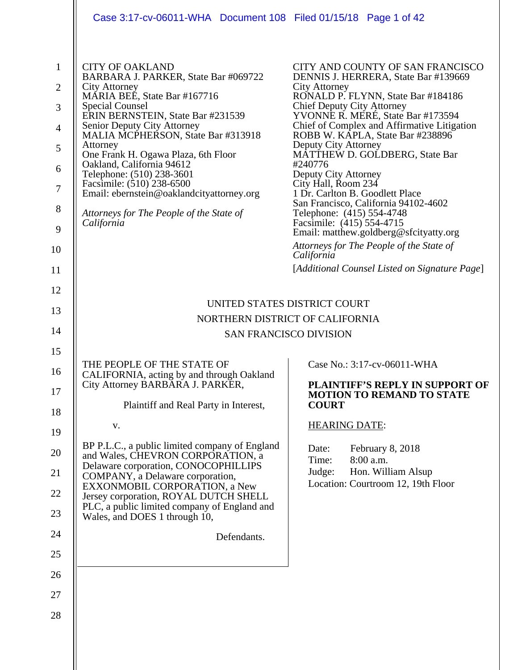|                                                                                                 | Case 3:17-cv-06011-WHA Document 108 Filed 01/15/18 Page 1 of 42                                                                                                                                                                                                                                                                                                                                                                                                                                      |                                                                                                                                                                                                                                                                                                                                                                                                                                                                                                                                                                                                                                                                                                     |
|-------------------------------------------------------------------------------------------------|------------------------------------------------------------------------------------------------------------------------------------------------------------------------------------------------------------------------------------------------------------------------------------------------------------------------------------------------------------------------------------------------------------------------------------------------------------------------------------------------------|-----------------------------------------------------------------------------------------------------------------------------------------------------------------------------------------------------------------------------------------------------------------------------------------------------------------------------------------------------------------------------------------------------------------------------------------------------------------------------------------------------------------------------------------------------------------------------------------------------------------------------------------------------------------------------------------------------|
| $\mathbf{1}$<br>$\overline{2}$<br>3<br>$\overline{4}$<br>5<br>6<br>$\tau$<br>8<br>9<br>10<br>11 | <b>CITY OF OAKLAND</b><br>BARBARA J. PARKER, State Bar #069722<br>City Attorney<br>MARIA BEE, State Bar #167716<br><b>Special Counsel</b><br>ERIN BERNSTEIN, State Bar #231539<br>Senior Deputy City Attorney<br>MALIA MCPHERSON, State Bar #313918<br>Attorney<br>One Frank H. Ogawa Plaza, 6th Floor<br>Oakland, California 94612<br>Telephone: (510) 238-3601<br>Facsimile: (510) 238-6500<br>Email: ebernstein@oaklandcityattorney.org<br>Attorneys for The People of the State of<br>California | CITY AND COUNTY OF SAN FRANCISCO<br>DENNIS J. HERRERA, State Bar #139669<br>City Attorney<br>RONALD P. FLYNN, State Bar #184186<br>Chief Deputy City Attorney<br>YVONNE R. MERÉ, State Bar #173594<br>Chief of Complex and Affirmative Litigation<br>ROBB W. KAPLA, State Bar #238896<br>Deputy City Attorney<br>MATTHEW D. GOLDBERG, State Bar<br>#240776<br>Deputy City Attorney<br>City Hall, Room 234<br>1 Dr. Carlton B. Goodlett Place<br>San Francisco, California 94102-4602<br>Telephone: (415) 554-4748<br>Facsimile: (415) 554-4715<br>Email: matthew.goldberg@sfcityatty.org<br>Attorneys for The People of the State of<br>California<br>[Additional Counsel Listed on Signature Page] |
| 12                                                                                              |                                                                                                                                                                                                                                                                                                                                                                                                                                                                                                      |                                                                                                                                                                                                                                                                                                                                                                                                                                                                                                                                                                                                                                                                                                     |
| 13                                                                                              | UNITED STATES DISTRICT COURT<br>NORTHERN DISTRICT OF CALIFORNIA                                                                                                                                                                                                                                                                                                                                                                                                                                      |                                                                                                                                                                                                                                                                                                                                                                                                                                                                                                                                                                                                                                                                                                     |
| 14                                                                                              | <b>SAN FRANCISCO DIVISION</b>                                                                                                                                                                                                                                                                                                                                                                                                                                                                        |                                                                                                                                                                                                                                                                                                                                                                                                                                                                                                                                                                                                                                                                                                     |
| 15                                                                                              |                                                                                                                                                                                                                                                                                                                                                                                                                                                                                                      |                                                                                                                                                                                                                                                                                                                                                                                                                                                                                                                                                                                                                                                                                                     |
| 16<br>17                                                                                        | THE PEOPLE OF THE STATE OF<br>CALIFORNIA, acting by and through Oakland<br>City Attorney BARBARA J. PARKER,                                                                                                                                                                                                                                                                                                                                                                                          | Case No.: 3:17-cv-06011-WHA<br>PLAINTIFF'S REPLY IN SUPPORT OF<br><b>MOTION TO REMAND TO STATE</b>                                                                                                                                                                                                                                                                                                                                                                                                                                                                                                                                                                                                  |
| 18                                                                                              | Plaintiff and Real Party in Interest,                                                                                                                                                                                                                                                                                                                                                                                                                                                                | <b>COURT</b>                                                                                                                                                                                                                                                                                                                                                                                                                                                                                                                                                                                                                                                                                        |
| 19                                                                                              | ${\bf V}$ .                                                                                                                                                                                                                                                                                                                                                                                                                                                                                          | <b>HEARING DATE:</b>                                                                                                                                                                                                                                                                                                                                                                                                                                                                                                                                                                                                                                                                                |
| 20<br>21                                                                                        | BP P.L.C., a public limited company of England<br>and Wales, CHEVRON CORPORATION, a<br>Delaware corporation, CONOCOPHILLIPS<br>COMPANY, a Delaware corporation,                                                                                                                                                                                                                                                                                                                                      | Date:<br>February 8, 2018<br>8:00 a.m.<br>Time:<br>Hon. William Alsup<br>Judge:<br>Location: Courtroom 12, 19th Floor                                                                                                                                                                                                                                                                                                                                                                                                                                                                                                                                                                               |
| 22                                                                                              | EXXONMOBIL CORPORATION, a New<br>Jersey corporation, ROYAL DUTCH SHELL                                                                                                                                                                                                                                                                                                                                                                                                                               |                                                                                                                                                                                                                                                                                                                                                                                                                                                                                                                                                                                                                                                                                                     |
| 23                                                                                              | PLC, a public limited company of England and<br>Wales, and DOES 1 through 10,                                                                                                                                                                                                                                                                                                                                                                                                                        |                                                                                                                                                                                                                                                                                                                                                                                                                                                                                                                                                                                                                                                                                                     |
| 24                                                                                              | Defendants.                                                                                                                                                                                                                                                                                                                                                                                                                                                                                          |                                                                                                                                                                                                                                                                                                                                                                                                                                                                                                                                                                                                                                                                                                     |
| 25                                                                                              |                                                                                                                                                                                                                                                                                                                                                                                                                                                                                                      |                                                                                                                                                                                                                                                                                                                                                                                                                                                                                                                                                                                                                                                                                                     |
| 26                                                                                              |                                                                                                                                                                                                                                                                                                                                                                                                                                                                                                      |                                                                                                                                                                                                                                                                                                                                                                                                                                                                                                                                                                                                                                                                                                     |
| 27                                                                                              |                                                                                                                                                                                                                                                                                                                                                                                                                                                                                                      |                                                                                                                                                                                                                                                                                                                                                                                                                                                                                                                                                                                                                                                                                                     |
| 28                                                                                              |                                                                                                                                                                                                                                                                                                                                                                                                                                                                                                      |                                                                                                                                                                                                                                                                                                                                                                                                                                                                                                                                                                                                                                                                                                     |
|                                                                                                 |                                                                                                                                                                                                                                                                                                                                                                                                                                                                                                      |                                                                                                                                                                                                                                                                                                                                                                                                                                                                                                                                                                                                                                                                                                     |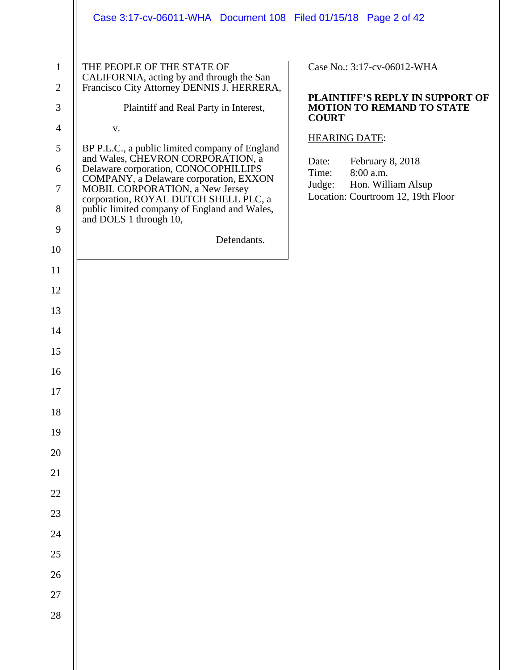|                                                                                                                                                                                                                                                | Case 3:17-cv-06011-WHA Document 108 Filed 01/15/18 Page 2 of 42                                                                                                                                                                                                                                                                                                                                                                                                                                                    |                                                                                                                                                                                                                                                                     |
|------------------------------------------------------------------------------------------------------------------------------------------------------------------------------------------------------------------------------------------------|--------------------------------------------------------------------------------------------------------------------------------------------------------------------------------------------------------------------------------------------------------------------------------------------------------------------------------------------------------------------------------------------------------------------------------------------------------------------------------------------------------------------|---------------------------------------------------------------------------------------------------------------------------------------------------------------------------------------------------------------------------------------------------------------------|
| $\mathbf{1}$<br>$\overline{2}$<br>3<br>$\overline{\mathcal{A}}$<br>5<br>6<br>7<br>8<br>9<br>10<br>11<br>12<br>13<br>14<br>15<br>16<br>$17\,$<br>$18\,$<br>19<br>$20\,$<br>$21\,$<br>$22\,$<br>23<br>$24\,$<br>25<br>$26\,$<br>$27\,$<br>$28\,$ | THE PEOPLE OF THE STATE OF<br>CALIFORNIA, acting by and through the San<br>Francisco City Attorney DENNIS J. HERRERA,<br>Plaintiff and Real Party in Interest,<br>V.<br>BP P.L.C., a public limited company of England<br>and Wales, CHEVRON CORPORATION, a<br>Delaware corporation, CONOCOPHILLIPS<br>COMPANY, a Delaware corporation, EXXON<br>MOBIL CORPORATION, a New Jersey<br>corporation, ROYAL DUTCH SHELL PLC, a<br>public limited company of England and Wales,<br>and DOES 1 through 10,<br>Defendants. | Case No.: 3:17-cv-06012-WHA<br>PLAINTIFF'S REPLY IN SUPPORT OF<br><b>MOTION TO REMAND TO STATE</b><br><b>COURT</b><br><b>HEARING DATE:</b><br>February 8, 2018<br>Date:<br>8:00 a.m.<br>Time:<br>Hon. William Alsup<br>Judge:<br>Location: Courtroom 12, 19th Floor |
|                                                                                                                                                                                                                                                |                                                                                                                                                                                                                                                                                                                                                                                                                                                                                                                    |                                                                                                                                                                                                                                                                     |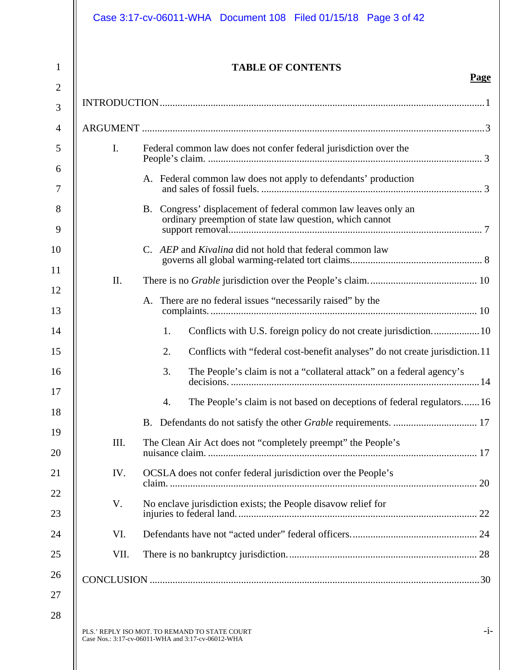|                | <b>TABLE OF CONTENTS</b>                                                                                                                                                            |
|----------------|-------------------------------------------------------------------------------------------------------------------------------------------------------------------------------------|
|                |                                                                                                                                                                                     |
|                |                                                                                                                                                                                     |
| $\mathbf{I}$ . | Federal common law does not confer federal jurisdiction over the                                                                                                                    |
|                | A. Federal common law does not apply to defendants' production                                                                                                                      |
|                | B. Congress' displacement of federal common law leaves only an<br>ordinary preemption of state law question, which cannot<br>stand y precincion of state faw question, which cannot |
|                | C. AEP and Kivalina did not hold that federal common law                                                                                                                            |
| II.            |                                                                                                                                                                                     |
|                | A. There are no federal issues "necessarily raised" by the                                                                                                                          |
|                | Conflicts with U.S. foreign policy do not create jurisdiction 10<br>1.                                                                                                              |
|                | 2.<br>Conflicts with "federal cost-benefit analyses" do not create jurisdiction.11                                                                                                  |
|                | The People's claim is not a "collateral attack" on a federal agency's<br>3.                                                                                                         |
|                | The People's claim is not based on deceptions of federal regulators 16<br>4.                                                                                                        |
|                |                                                                                                                                                                                     |
| III.           | The Clean Air Act does not "completely preempt" the People's                                                                                                                        |
| IV.            | OCSLA does not confer federal jurisdiction over the People's                                                                                                                        |
| V.             | No enclave jurisdiction exists; the People disavow relief for                                                                                                                       |
| VI.            |                                                                                                                                                                                     |
| VII.           |                                                                                                                                                                                     |
|                |                                                                                                                                                                                     |

 $\mathop{\textstyle\prod}$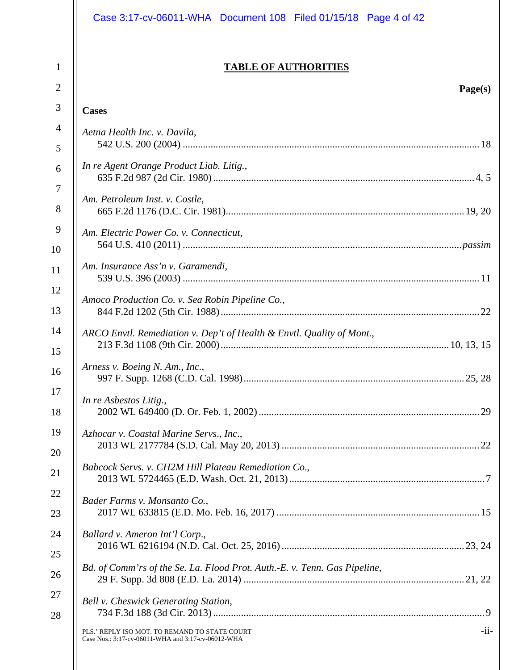|                                | Case 3:17-cv-06011-WHA Document 108 Filed 01/15/18 Page 4 of 42                                                |
|--------------------------------|----------------------------------------------------------------------------------------------------------------|
| $\mathbf{1}$<br>$\overline{2}$ | <b>TABLE OF AUTHORITIES</b><br>Page(s)                                                                         |
| $\mathfrak{Z}$                 | <b>Cases</b>                                                                                                   |
| $\overline{4}$                 | Aetna Health Inc. v. Davila,                                                                                   |
| 5                              |                                                                                                                |
| 6<br>7                         | In re Agent Orange Product Liab. Litig.,                                                                       |
| 8                              | Am. Petroleum Inst. v. Costle,                                                                                 |
| 9<br>10                        | Am. Electric Power Co. v. Connecticut,                                                                         |
| 11                             | Am. Insurance Ass'n v. Garamendi,                                                                              |
| 12<br>13                       | Amoco Production Co. v. Sea Robin Pipeline Co.,                                                                |
| 14<br>15                       | ARCO Envtl. Remediation v. Dep't of Health & Envtl. Quality of Mont.,                                          |
| 16                             | Arness v. Boeing N. Am., Inc.,                                                                                 |
| 17<br>18                       | In re Asbestos Litig.,                                                                                         |
| 19<br>20                       | Azhocar v. Coastal Marine Servs., Inc.,                                                                        |
| 21                             | Babcock Servs. v. CH2M Hill Plateau Remediation Co.,                                                           |
| 22<br>23                       | Bader Farms v. Monsanto Co.,                                                                                   |
| 24<br>25                       | Ballard v. Ameron Int'l Corp.,                                                                                 |
| 26                             | Bd. of Comm'rs of the Se. La. Flood Prot. Auth.-E. v. Tenn. Gas Pipeline,                                      |
| 27<br>28                       | Bell v. Cheswick Generating Station,                                                                           |
|                                | $-i$ i-<br>PLS.' REPLY ISO MOT. TO REMAND TO STATE COURT<br>Case Nos.: 3:17-cv-06011-WHA and 3:17-cv-06012-WHA |
|                                |                                                                                                                |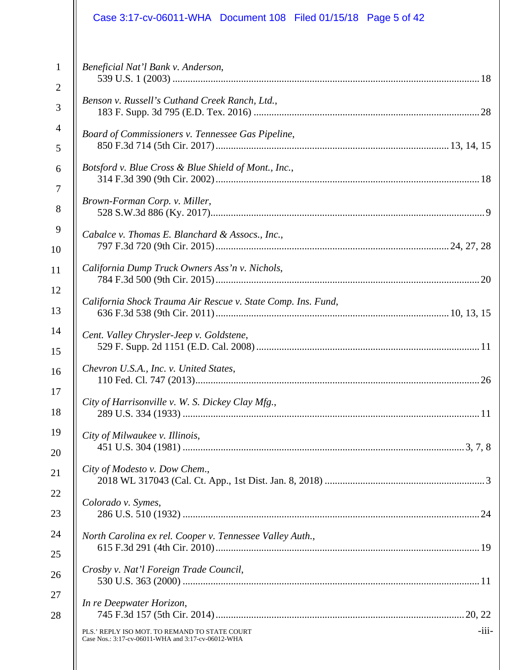|                | Case 3:17-cv-06011-WHA Document 108 Filed 01/15/18 Page 5 of 42                                                |
|----------------|----------------------------------------------------------------------------------------------------------------|
| $\mathbf{1}$   | Beneficial Nat'l Bank v. Anderson,                                                                             |
| $\overline{2}$ |                                                                                                                |
| 3              | Benson v. Russell's Cuthand Creek Ranch, Ltd.,                                                                 |
| $\overline{4}$ | Board of Commissioners v. Tennessee Gas Pipeline,                                                              |
| 5              |                                                                                                                |
| 6              | Botsford v. Blue Cross & Blue Shield of Mont., Inc.,                                                           |
| $\overline{7}$ | Brown-Forman Corp. v. Miller,                                                                                  |
| 8              |                                                                                                                |
| 9              | Cabalce v. Thomas E. Blanchard & Assocs., Inc.,                                                                |
| 10             |                                                                                                                |
| 11             | California Dump Truck Owners Ass'n v. Nichols,                                                                 |
| 12             | California Shock Trauma Air Rescue v. State Comp. Ins. Fund,                                                   |
| 13             |                                                                                                                |
| 14             | Cent. Valley Chrysler-Jeep v. Goldstene,                                                                       |
| 15             |                                                                                                                |
| 16             | Chevron U.S.A., Inc. v. United States,                                                                         |
| 17             | City of Harrisonville v. W. S. Dickey Clay Mfg.,                                                               |
| 18             |                                                                                                                |
| 19             | City of Milwaukee v. Illinois,                                                                                 |
| 20             | City of Modesto v. Dow Chem.,                                                                                  |
| 21             |                                                                                                                |
| 22             | Colorado v. Symes,                                                                                             |
| 23             |                                                                                                                |
| 24             | North Carolina ex rel. Cooper v. Tennessee Valley Auth.,                                                       |
| 25             | Crosby v. Nat'l Foreign Trade Council,                                                                         |
| 26             |                                                                                                                |
| 27             | In re Deepwater Horizon,                                                                                       |
| 28             |                                                                                                                |
|                | $-iii-$<br>PLS.' REPLY ISO MOT. TO REMAND TO STATE COURT<br>Case Nos.: 3:17-cv-06011-WHA and 3:17-cv-06012-WHA |
|                |                                                                                                                |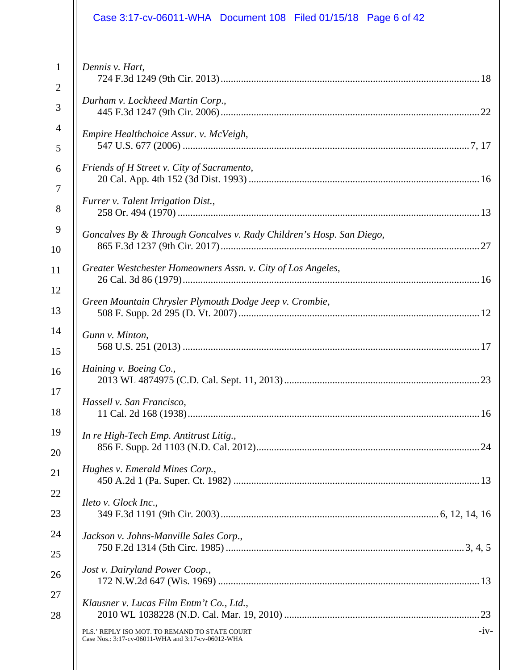|                | Case 3:17-cv-06011-WHA Document 108 Filed 01/15/18 Page 6 of 42                                               |
|----------------|---------------------------------------------------------------------------------------------------------------|
| $\mathbf{1}$   | Dennis v. Hart,                                                                                               |
| $\overline{2}$ |                                                                                                               |
| 3              | Durham v. Lockheed Martin Corp.,                                                                              |
| $\overline{4}$ | Empire Healthchoice Assur. v. McVeigh,                                                                        |
| 5              |                                                                                                               |
| 6              | Friends of H Street v. City of Sacramento,                                                                    |
| $\overline{7}$ |                                                                                                               |
| 8              | Furrer v. Talent Irrigation Dist.,                                                                            |
| 9              | Goncalves By & Through Goncalves v. Rady Children's Hosp. San Diego,                                          |
| 10             |                                                                                                               |
| 11             | Greater Westchester Homeowners Assn. v. City of Los Angeles,                                                  |
| 12             | Green Mountain Chrysler Plymouth Dodge Jeep v. Crombie,                                                       |
| 13             |                                                                                                               |
| 14             | Gunn v. Minton,                                                                                               |
| 15             |                                                                                                               |
| 16             | Haining v. Boeing Co.,                                                                                        |
| 17             | Hassell v. San Francisco,                                                                                     |
| 18             |                                                                                                               |
| 19             | In re High-Tech Emp. Antitrust Litig.,                                                                        |
| 20             |                                                                                                               |
| 21             | Hughes v. Emerald Mines Corp.,                                                                                |
| 22             | Ileto v. Glock Inc.,                                                                                          |
| 23             |                                                                                                               |
| 24             | Jackson v. Johns-Manville Sales Corp.,                                                                        |
| 25             |                                                                                                               |
| 26             | Jost v. Dairyland Power Coop.,                                                                                |
| 27             | Klausner v. Lucas Film Entm't Co., Ltd.,                                                                      |
| 28             |                                                                                                               |
|                | $-iv-$<br>PLS.' REPLY ISO MOT. TO REMAND TO STATE COURT<br>Case Nos.: 3:17-cv-06011-WHA and 3:17-cv-06012-WHA |
|                |                                                                                                               |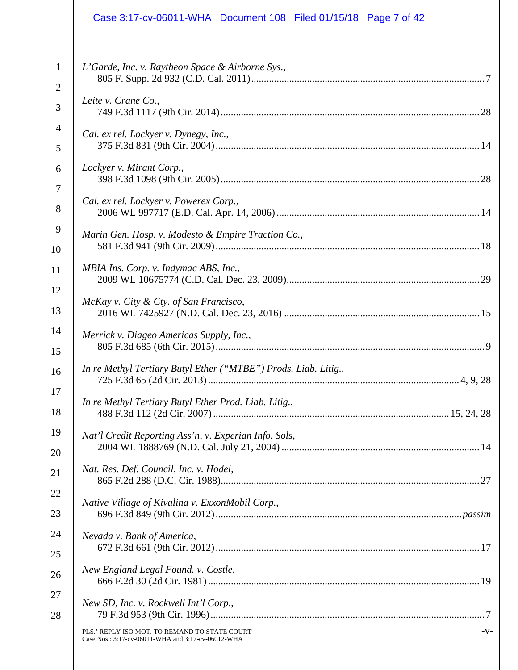|                                | Case 3:17-cv-06011-WHA  Document 108  Filed 01/15/18  Page 7 of 42                                           |
|--------------------------------|--------------------------------------------------------------------------------------------------------------|
| $\mathbf{1}$<br>$\overline{c}$ | L'Garde, Inc. v. Raytheon Space & Airborne Sys.,                                                             |
| 3                              | Leite v. Crane Co.,                                                                                          |
| 4<br>5                         | Cal. ex rel. Lockyer v. Dynegy, Inc.,                                                                        |
| 6<br>7                         | Lockyer v. Mirant Corp.,                                                                                     |
| 8                              | Cal. ex rel. Lockyer v. Powerex Corp.,                                                                       |
| 10                             | Marin Gen. Hosp. v. Modesto & Empire Traction Co.,                                                           |
|                                | MBIA Ins. Corp. v. Indymac ABS, Inc.,                                                                        |
| 12<br>13                       | McKay v. City & Cty. of San Francisco,                                                                       |
|                                | Merrick v. Diageo Americas Supply, Inc.,                                                                     |
|                                | In re Methyl Tertiary Butyl Ether ("MTBE") Prods. Liab. Litig.,<br>4.9.28<br>725 F.3d 65 (2d Cir. 2013)      |
|                                | In re Methyl Tertiary Butyl Ether Prod. Liab. Litig.,                                                        |
|                                | Nat'l Credit Reporting Ass'n, v. Experian Info. Sols,                                                        |
|                                | Nat. Res. Def. Council, Inc. v. Hodel,                                                                       |
|                                | Native Village of Kivalina v. ExxonMobil Corp.,                                                              |
|                                | Nevada v. Bank of America,                                                                                   |
|                                | New England Legal Found. v. Costle,                                                                          |
|                                | New SD, Inc. v. Rockwell Int'l Corp.,                                                                        |
|                                | PLS.' REPLY ISO MOT. TO REMAND TO STATE COURT<br>$-V-$<br>Case Nos.: 3:17-cv-06011-WHA and 3:17-cv-06012-WHA |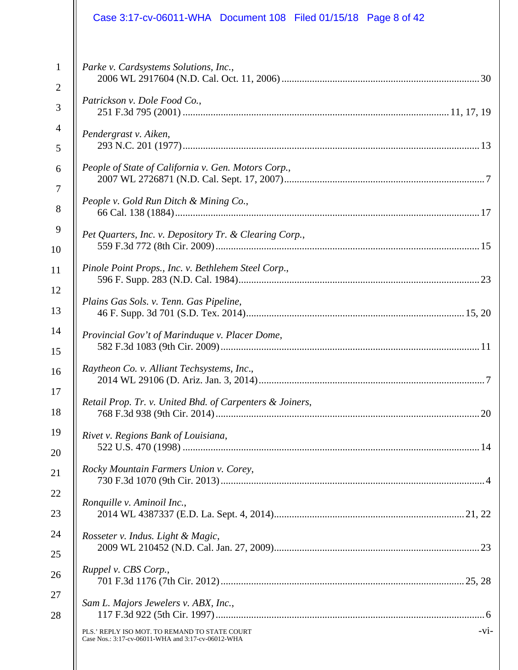|                | Case 3:17-cv-06011-WHA Document 108 Filed 01/15/18 Page 8 of 42                                               |
|----------------|---------------------------------------------------------------------------------------------------------------|
| $\mathbf{1}$   | Parke v. Cardsystems Solutions, Inc.,                                                                         |
| $\overline{2}$ |                                                                                                               |
| 3              | Patrickson v. Dole Food Co.,                                                                                  |
| $\overline{4}$ | Pendergrast v. Aiken,                                                                                         |
| 5              |                                                                                                               |
| 6              | People of State of California v. Gen. Motors Corp.,                                                           |
| $\overline{7}$ | People v. Gold Run Ditch & Mining Co.,                                                                        |
| 8              |                                                                                                               |
| 9              | Pet Quarters, Inc. v. Depository Tr. & Clearing Corp.,                                                        |
| 10             |                                                                                                               |
| 11             | Pinole Point Props., Inc. v. Bethlehem Steel Corp.,                                                           |
| 12             | Plains Gas Sols. v. Tenn. Gas Pipeline,                                                                       |
| 13             |                                                                                                               |
| 14             | Provincial Gov't of Marinduque v. Placer Dome,                                                                |
| 15             |                                                                                                               |
| 16             | Raytheon Co. v. Alliant Techsystems, Inc.,                                                                    |
| 17             | Retail Prop. Tr. v. United Bhd. of Carpenters & Joiners,                                                      |
| 18             |                                                                                                               |
| 19             | Rivet v. Regions Bank of Louisiana,                                                                           |
| 20             |                                                                                                               |
| 21             | Rocky Mountain Farmers Union v. Corey,                                                                        |
| 22             | Ronquille v. Aminoil Inc.,                                                                                    |
| 23             |                                                                                                               |
| 24             | Rosseter v. Indus. Light & Magic,                                                                             |
| 25             |                                                                                                               |
| 26             | Ruppel v. CBS Corp.,                                                                                          |
| 27             | Sam L. Majors Jewelers v. ABX, Inc.,                                                                          |
| 28             |                                                                                                               |
|                | $-vi-$<br>PLS.' REPLY ISO MOT. TO REMAND TO STATE COURT<br>Case Nos.: 3:17-cv-06011-WHA and 3:17-cv-06012-WHA |
|                |                                                                                                               |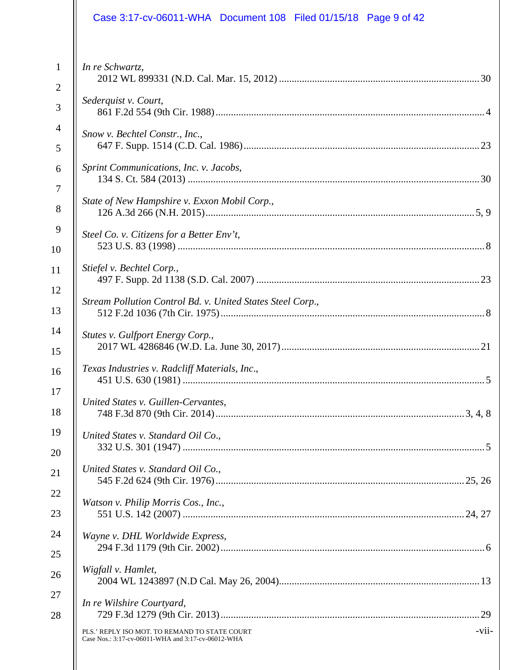|                                | Case 3:17-cv-06011-WHA Document 108 Filed 01/15/18 Page 9 of 42                                     |       |
|--------------------------------|-----------------------------------------------------------------------------------------------------|-------|
| $\mathbf{1}$<br>$\overline{2}$ | In re Schwartz,                                                                                     |       |
| 3                              | Sederquist v. Court,                                                                                |       |
| $\overline{4}$<br>5            | Snow v. Bechtel Constr., Inc.,                                                                      |       |
| 6                              | Sprint Communications, Inc. v. Jacobs,                                                              |       |
| $\overline{7}$<br>8            | State of New Hampshire v. Exxon Mobil Corp.,                                                        |       |
| 9<br>10                        | Steel Co. v. Citizens for a Better Env't,                                                           |       |
| 11                             | Stiefel v. Bechtel Corp.,                                                                           |       |
| 12<br>13                       | Stream Pollution Control Bd. v. United States Steel Corp.,                                          |       |
| 14<br>15                       | Stutes v. Gulfport Energy Corp.,                                                                    |       |
| 16                             | Texas Industries v. Radcliff Materials, Inc.,                                                       |       |
| 17<br>18                       | United States v. Guillen-Cervantes,                                                                 |       |
| 19<br>20                       | United States v. Standard Oil Co.,                                                                  |       |
| 21                             | United States v. Standard Oil Co.,                                                                  |       |
| 22<br>23                       | Watson v. Philip Morris Cos., Inc.,                                                                 |       |
| 24<br>25                       | Wayne v. DHL Worldwide Express,                                                                     |       |
| 26                             | Wigfall v. Hamlet,                                                                                  |       |
| 27<br>28                       | In re Wilshire Courtyard,                                                                           |       |
|                                | PLS.' REPLY ISO MOT. TO REMAND TO STATE COURT<br>Case Nos.: 3:17-cv-06011-WHA and 3:17-cv-06012-WHA | -vii- |
|                                |                                                                                                     |       |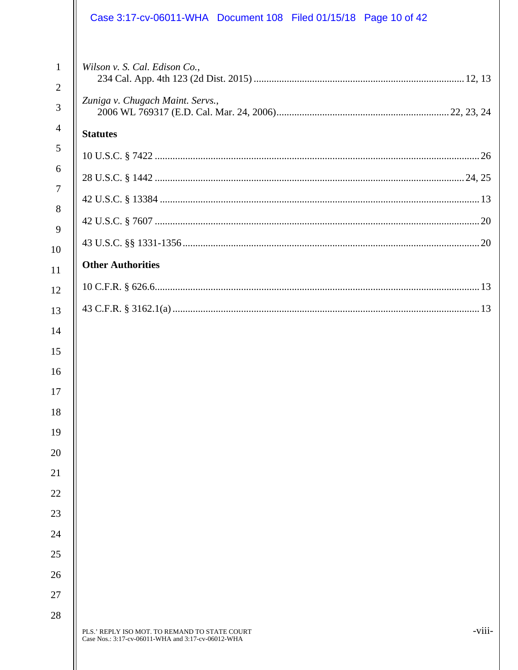|                                                  | Case 3:17-cv-06011-WHA Document 108 Filed 01/15/18 Page 10 of 42                                              |
|--------------------------------------------------|---------------------------------------------------------------------------------------------------------------|
| $\mathbf{1}$<br>$\overline{2}$<br>$\overline{3}$ | Wilson v. S. Cal. Edison Co.,<br>Zuniga v. Chugach Maint. Servs.,                                             |
| $\overline{4}$                                   | <b>Statutes</b>                                                                                               |
| 5                                                |                                                                                                               |
| 6                                                |                                                                                                               |
| $\overline{7}$                                   |                                                                                                               |
| 8                                                |                                                                                                               |
| 9                                                |                                                                                                               |
| 10<br>11                                         | <b>Other Authorities</b>                                                                                      |
| 12                                               |                                                                                                               |
| 13                                               |                                                                                                               |
| 14                                               |                                                                                                               |
| 15                                               |                                                                                                               |
| 16                                               |                                                                                                               |
| 17                                               |                                                                                                               |
| 18                                               |                                                                                                               |
| 19                                               |                                                                                                               |
| 20                                               |                                                                                                               |
| 21                                               |                                                                                                               |
| 22                                               |                                                                                                               |
| 23                                               |                                                                                                               |
| 24                                               |                                                                                                               |
| 25                                               |                                                                                                               |
| 26<br>27                                         |                                                                                                               |
| 28                                               |                                                                                                               |
|                                                  | -viii-<br>PLS.' REPLY ISO MOT. TO REMAND TO STATE COURT<br>Case Nos.: 3:17-cv-06011-WHA and 3:17-cv-06012-WHA |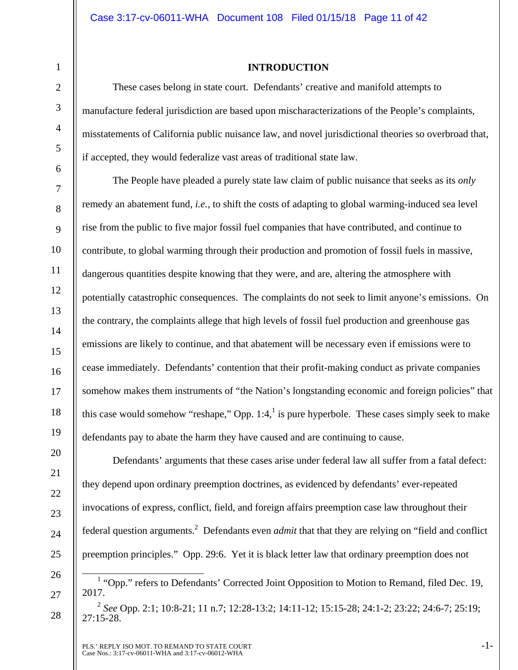1

2

3

4

5

6

7

8

9

10

11

12

13

14

15

16

17

18

19

20

21

22

23

24

25

26

27

28

### **INTRODUCTION**

These cases belong in state court. Defendants' creative and manifold attempts to manufacture federal jurisdiction are based upon mischaracterizations of the People's complaints, misstatements of California public nuisance law, and novel jurisdictional theories so overbroad that, if accepted, they would federalize vast areas of traditional state law.

The People have pleaded a purely state law claim of public nuisance that seeks as its *only* remedy an abatement fund, *i.e.,* to shift the costs of adapting to global warming-induced sea level rise from the public to five major fossil fuel companies that have contributed, and continue to contribute, to global warming through their production and promotion of fossil fuels in massive, dangerous quantities despite knowing that they were, and are, altering the atmosphere with potentially catastrophic consequences. The complaints do not seek to limit anyone's emissions. On the contrary, the complaints allege that high levels of fossil fuel production and greenhouse gas emissions are likely to continue, and that abatement will be necessary even if emissions were to cease immediately. Defendants' contention that their profit-making conduct as private companies somehow makes them instruments of "the Nation's longstanding economic and foreign policies" that this case would somehow "reshape," Opp. 1:4, $\frac{1}{1}$  is pure hyperbole. These cases simply seek to make defendants pay to abate the harm they have caused and are continuing to cause.

Defendants' arguments that these cases arise under federal law all suffer from a fatal defect: they depend upon ordinary preemption doctrines, as evidenced by defendants' ever-repeated invocations of express, conflict, field, and foreign affairs preemption case law throughout their federal question arguments.2 Defendants even *admit* that that they are relying on "field and conflict preemption principles." Opp. 29:6. Yet it is black letter law that ordinary preemption does not

<sup>&</sup>lt;sup>1</sup> "Opp." refers to Defendants' Corrected Joint Opposition to Motion to Remand, filed Dec. 19, 2017.

<sup>2</sup> *See* Opp. 2:1; 10:8-21; 11 n.7; 12:28-13:2; 14:11-12; 15:15-28; 24:1-2; 23:22; 24:6-7; 25:19; 27:15-28.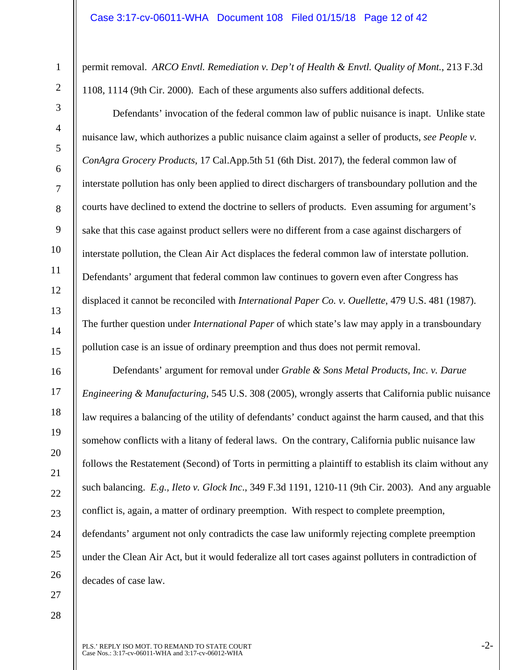permit removal. *ARCO Envtl. Remediation v. Dep't of Health & Envtl. Quality of Mont.*, 213 F.3d 1108, 1114 (9th Cir. 2000). Each of these arguments also suffers additional defects.

Defendants' invocation of the federal common law of public nuisance is inapt. Unlike state nuisance law, which authorizes a public nuisance claim against a seller of products, *see People v. ConAgra Grocery Products*, 17 Cal.App.5th 51 (6th Dist. 2017), the federal common law of interstate pollution has only been applied to direct dischargers of transboundary pollution and the courts have declined to extend the doctrine to sellers of products. Even assuming for argument's sake that this case against product sellers were no different from a case against dischargers of interstate pollution, the Clean Air Act displaces the federal common law of interstate pollution. Defendants' argument that federal common law continues to govern even after Congress has displaced it cannot be reconciled with *International Paper Co. v. Ouellette*, 479 U.S. 481 (1987). The further question under *International Paper* of which state's law may apply in a transboundary pollution case is an issue of ordinary preemption and thus does not permit removal.

Defendants' argument for removal under *Grable & Sons Metal Products, Inc. v. Darue Engineering & Manufacturing*, 545 U.S. 308 (2005), wrongly asserts that California public nuisance law requires a balancing of the utility of defendants' conduct against the harm caused, and that this somehow conflicts with a litany of federal laws. On the contrary, California public nuisance law follows the Restatement (Second) of Torts in permitting a plaintiff to establish its claim without any such balancing. *E.g., Ileto v. Glock Inc*., 349 F.3d 1191, 1210-11 (9th Cir. 2003). And any arguable conflict is, again, a matter of ordinary preemption. With respect to complete preemption, defendants' argument not only contradicts the case law uniformly rejecting complete preemption under the Clean Air Act, but it would federalize all tort cases against polluters in contradiction of decades of case law.

27

1

2

3

4

5

6

7

8

9

10

11

12

13

14

15

16

17

18

19

20

21

22

23

24

25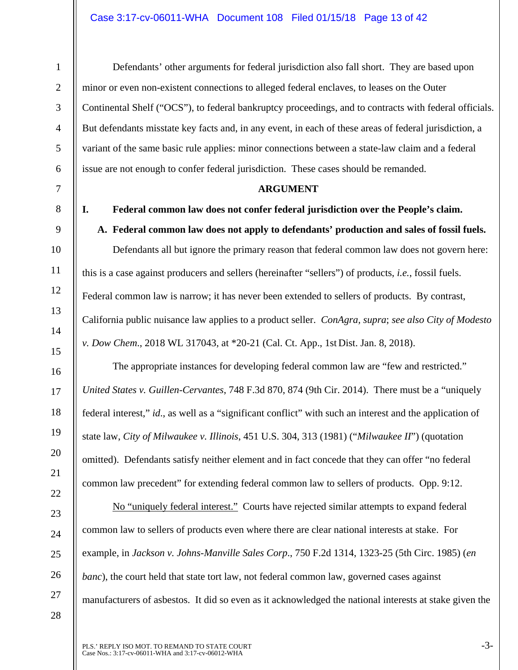### Case 3:17-cv-06011-WHA Document 108 Filed 01/15/18 Page 13 of 42

Defendants' other arguments for federal jurisdiction also fall short. They are based upon minor or even non-existent connections to alleged federal enclaves, to leases on the Outer Continental Shelf ("OCS"), to federal bankruptcy proceedings, and to contracts with federal officials. But defendants misstate key facts and, in any event, in each of these areas of federal jurisdiction, a variant of the same basic rule applies: minor connections between a state-law claim and a federal issue are not enough to confer federal jurisdiction. These cases should be remanded.

### **ARGUMENT**

**I. Federal common law does not confer federal jurisdiction over the People's claim.** 

# **A. Federal common law does not apply to defendants' production and sales of fossil fuels.**

Defendants all but ignore the primary reason that federal common law does not govern here: this is a case against producers and sellers (hereinafter "sellers") of products, *i.e.*, fossil fuels. Federal common law is narrow; it has never been extended to sellers of products. By contrast, California public nuisance law applies to a product seller. *ConAgra, supra*; *see also City of Modesto v. Dow Chem*., 2018 WL 317043, at \*20-21 (Cal. Ct. App., 1st Dist. Jan. 8, 2018).

The appropriate instances for developing federal common law are "few and restricted." *United States v. Guillen-Cervantes*, 748 F.3d 870, 874 (9th Cir. 2014). There must be a "uniquely federal interest," *id*., as well as a "significant conflict" with such an interest and the application of state law, *City of Milwaukee v. Illinois*, 451 U.S. 304, 313 (1981) ("*Milwaukee II*") (quotation omitted). Defendants satisfy neither element and in fact concede that they can offer "no federal common law precedent" for extending federal common law to sellers of products. Opp. 9:12.

No "uniquely federal interest." Courts have rejected similar attempts to expand federal common law to sellers of products even where there are clear national interests at stake. For example, in *Jackson v. Johns-Manville Sales Corp*., 750 F.2d 1314, 1323-25 (5th Circ. 1985) (*en banc*), the court held that state tort law, not federal common law, governed cases against manufacturers of asbestos. It did so even as it acknowledged the national interests at stake given the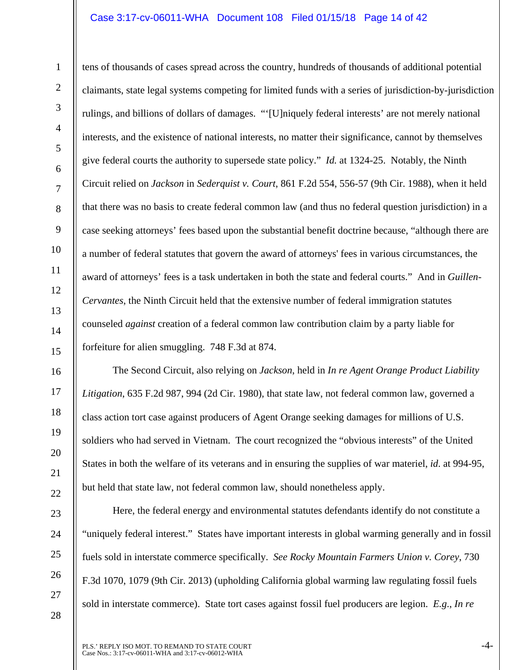### Case 3:17-cv-06011-WHA Document 108 Filed 01/15/18 Page 14 of 42

tens of thousands of cases spread across the country, hundreds of thousands of additional potential claimants, state legal systems competing for limited funds with a series of jurisdiction-by-jurisdiction rulings, and billions of dollars of damages. "'[U]niquely federal interests' are not merely national interests, and the existence of national interests, no matter their significance, cannot by themselves give federal courts the authority to supersede state policy." *Id.* at 1324-25. Notably, the Ninth Circuit relied on *Jackson* in *Sederquist v. Court*, 861 F.2d 554, 556-57 (9th Cir. 1988), when it held that there was no basis to create federal common law (and thus no federal question jurisdiction) in a case seeking attorneys' fees based upon the substantial benefit doctrine because, "although there are a number of federal statutes that govern the award of attorneys' fees in various circumstances, the award of attorneys' fees is a task undertaken in both the state and federal courts." And in *Guillen-Cervantes*, the Ninth Circuit held that the extensive number of federal immigration statutes counseled *against* creation of a federal common law contribution claim by a party liable for forfeiture for alien smuggling. 748 F.3d at 874.

The Second Circuit, also relying on *Jackson*, held in *In re Agent Orange Product Liability Litigation*, 635 F.2d 987, 994 (2d Cir. 1980), that state law, not federal common law, governed a class action tort case against producers of Agent Orange seeking damages for millions of U.S. soldiers who had served in Vietnam. The court recognized the "obvious interests" of the United States in both the welfare of its veterans and in ensuring the supplies of war materiel, *id*. at 994-95, but held that state law, not federal common law, should nonetheless apply.

28

1

2

3

4

5

6

7

8

9

10

11

12

13

14

15

16

17

18

19

20

Here, the federal energy and environmental statutes defendants identify do not constitute a "uniquely federal interest." States have important interests in global warming generally and in fossil fuels sold in interstate commerce specifically. *See Rocky Mountain Farmers Union v. Corey*, 730 F.3d 1070, 1079 (9th Cir. 2013) (upholding California global warming law regulating fossil fuels sold in interstate commerce). State tort cases against fossil fuel producers are legion. *E.g*., *In re*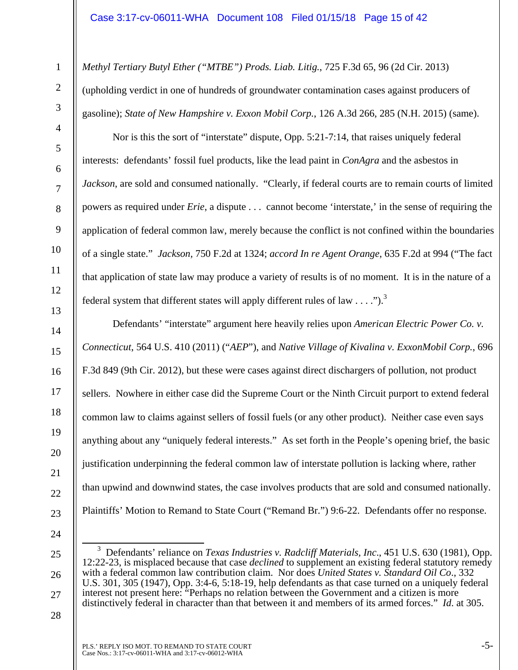*Methyl Tertiary Butyl Ether ("MTBE") Prods. Liab. Litig.*, 725 F.3d 65, 96 (2d Cir. 2013)

(upholding verdict in one of hundreds of groundwater contamination cases against producers of gasoline); *State of New Hampshire v. Exxon Mobil Corp.*, 126 A.3d 266, 285 (N.H. 2015) (same).

Nor is this the sort of "interstate" dispute, Opp. 5:21-7:14, that raises uniquely federal interests: defendants' fossil fuel products, like the lead paint in *ConAgra* and the asbestos in *Jackson*, are sold and consumed nationally. "Clearly, if federal courts are to remain courts of limited powers as required under *Erie*, a dispute . . . cannot become 'interstate,' in the sense of requiring the application of federal common law, merely because the conflict is not confined within the boundaries of a single state." *Jackson,* 750 F.2d at 1324; *accord In re Agent Orange*, 635 F.2d at 994 ("The fact that application of state law may produce a variety of results is of no moment. It is in the nature of a federal system that different states will apply different rules of law  $\dots$ ").<sup>3</sup>

Defendants' "interstate" argument here heavily relies upon *American Electric Power Co. v. Connecticut*, 564 U.S. 410 (2011) ("*AEP*"), and *Native Village of Kivalina v. ExxonMobil Corp.*, 696 F.3d 849 (9th Cir. 2012), but these were cases against direct dischargers of pollution, not product sellers. Nowhere in either case did the Supreme Court or the Ninth Circuit purport to extend federal common law to claims against sellers of fossil fuels (or any other product). Neither case even says anything about any "uniquely federal interests." As set forth in the People's opening brief, the basic justification underpinning the federal common law of interstate pollution is lacking where, rather than upwind and downwind states, the case involves products that are sold and consumed nationally. Plaintiffs' Motion to Remand to State Court ("Remand Br.") 9:6-22. Defendants offer no response.

24

25

26

27

28

1

2

3

4

5

6

7

8

9

10

11

12

13

14

15

16

17

18

19

20

21

22

 $\overline{\phantom{0}3}$  Defendants' reliance on *Texas Industries v. Radcliff Materials, Inc*., 451 U.S. 630 (1981), Opp. 12:22-23, is misplaced because that case *declined* to supplement an existing federal statutory remedy with a federal common law contribution claim. Nor does *United States v. Standard Oil Co*., 332 U.S. 301, 305 (1947), Opp. 3:4-6, 5:18-19, help defendants as that case turned on a uniquely federal interest not present here: "Perhaps no relation between the Government and a citizen is more distinctively federal in character than that between it and members of its armed forces." *Id*. at 305.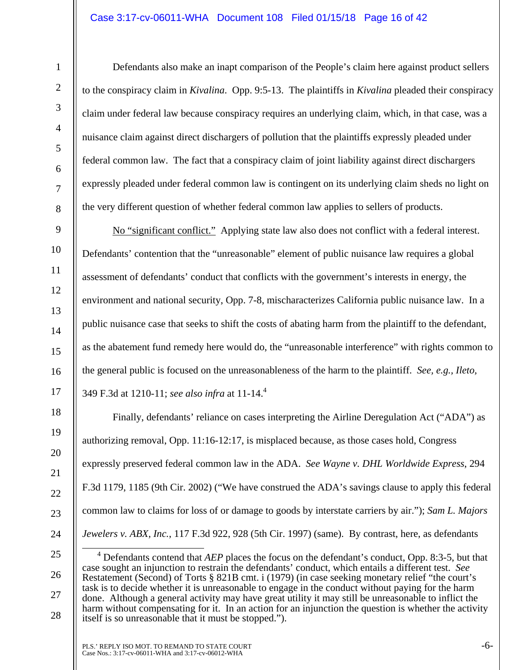### Case 3:17-cv-06011-WHA Document 108 Filed 01/15/18 Page 16 of 42

28

Defendants also make an inapt comparison of the People's claim here against product sellers to the conspiracy claim in *Kivalina*. Opp. 9:5-13. The plaintiffs in *Kivalina* pleaded their conspiracy claim under federal law because conspiracy requires an underlying claim, which, in that case, was a nuisance claim against direct dischargers of pollution that the plaintiffs expressly pleaded under federal common law. The fact that a conspiracy claim of joint liability against direct dischargers expressly pleaded under federal common law is contingent on its underlying claim sheds no light on the very different question of whether federal common law applies to sellers of products.

No "significant conflict." Applying state law also does not conflict with a federal interest. Defendants' contention that the "unreasonable" element of public nuisance law requires a global assessment of defendants' conduct that conflicts with the government's interests in energy, the environment and national security, Opp. 7-8, mischaracterizes California public nuisance law. In a public nuisance case that seeks to shift the costs of abating harm from the plaintiff to the defendant, as the abatement fund remedy here would do, the "unreasonable interference" with rights common to the general public is focused on the unreasonableness of the harm to the plaintiff. *See, e.g., Ileto,*  349 F.3d at 1210-11; *see also infra* at 11-14.4

Finally, defendants' reliance on cases interpreting the Airline Deregulation Act ("ADA") as authorizing removal, Opp. 11:16-12:17, is misplaced because, as those cases hold, Congress expressly preserved federal common law in the ADA. *See Wayne v. DHL Worldwide Express*, 294 F.3d 1179, 1185 (9th Cir. 2002) ("We have construed the ADA's savings clause to apply this federal common law to claims for loss of or damage to goods by interstate carriers by air."); *Sam L. Majors Jewelers v. ABX, Inc.*, 117 F.3d 922, 928 (5th Cir. 1997) (same). By contrast, here, as defendants

 $\overline{4}$  Defendants contend that *AEP* places the focus on the defendant's conduct, Opp. 8:3-5, but that case sought an injunction to restrain the defendants' conduct, which entails a different test. *See*  Restatement (Second) of Torts § 821B cmt. i (1979) (in case seeking monetary relief "the court's task is to decide whether it is unreasonable to engage in the conduct without paying for the harm done. Although a general activity may have great utility it may still be unreasonable to inflict the harm without compensating for it. In an action for an injunction the question is whether the activity itself is so unreasonable that it must be stopped.").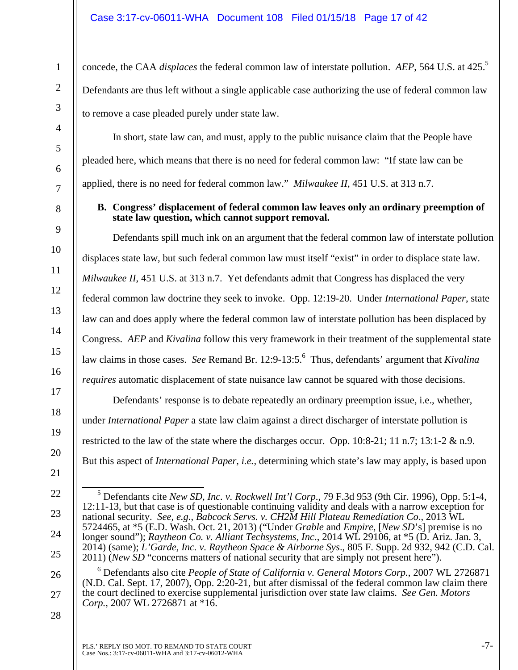concede, the CAA *displaces* the federal common law of interstate pollution. *AEP*, 564 U.S. at 425.5 Defendants are thus left without a single applicable case authorizing the use of federal common law to remove a case pleaded purely under state law.

In short, state law can, and must, apply to the public nuisance claim that the People have pleaded here, which means that there is no need for federal common law: "If state law can be applied, there is no need for federal common law." *Milwaukee II*, 451 U.S. at 313 n.7.

### **B. Congress' displacement of federal common law leaves only an ordinary preemption of state law question, which cannot support removal.**

Defendants spill much ink on an argument that the federal common law of interstate pollution displaces state law, but such federal common law must itself "exist" in order to displace state law. *Milwaukee II*, 451 U.S. at 313 n.7. Yet defendants admit that Congress has displaced the very federal common law doctrine they seek to invoke. Opp. 12:19-20. Under *International Paper*, state law can and does apply where the federal common law of interstate pollution has been displaced by Congress. *AEP* and *Kivalina* follow this very framework in their treatment of the supplemental state law claims in those cases. *See* Remand Br. 12:9-13:5.<sup>6</sup> Thus, defendants' argument that *Kivalina requires* automatic displacement of state nuisance law cannot be squared with those decisions.

Defendants' response is to debate repeatedly an ordinary preemption issue, i.e., whether, under *International Paper* a state law claim against a direct discharger of interstate pollution is restricted to the law of the state where the discharges occur. Opp. 10:8-21; 11 n.7; 13:1-2 & n.9. But this aspect of *International Paper, i.e.,* determining which state's law may apply, is based upon

 5 Defendants cite *New SD, Inc. v. Rockwell Int'l Corp*., 79 F.3d 953 (9th Cir. 1996), Opp. 5:1-4, 12:11-13, but that case is of questionable continuing validity and deals with a narrow exception for national security. *See, e.g.*, *Babcock Servs. v. CH2M Hill Plateau Remediation Co*., 2013 WL 5724465, at \*5 (E.D. Wash. Oct. 21, 2013) ("Under *Grable* and *Empire*, [*New SD*'s] premise is no longer sound"); *Raytheon Co. v. Alliant Techsystems, Inc*., 2014 WL 29106, at \*5 (D. Ariz. Jan. 3,

1

2

3

4

5

6

7

8

9

10

11

12

13

14

15

16

17

18

19

20

- 23
- 
- 24
- 25

26

27



<sup>(</sup>N.D. Cal. Sept. 17, 2007), Opp. 2:20-21, but after dismissal of the federal common law claim there the court declined to exercise supplemental jurisdiction over state law claims. *See Gen. Motors Corp.,* 2007 WL 2726871 at \*16.

<sup>21</sup>  22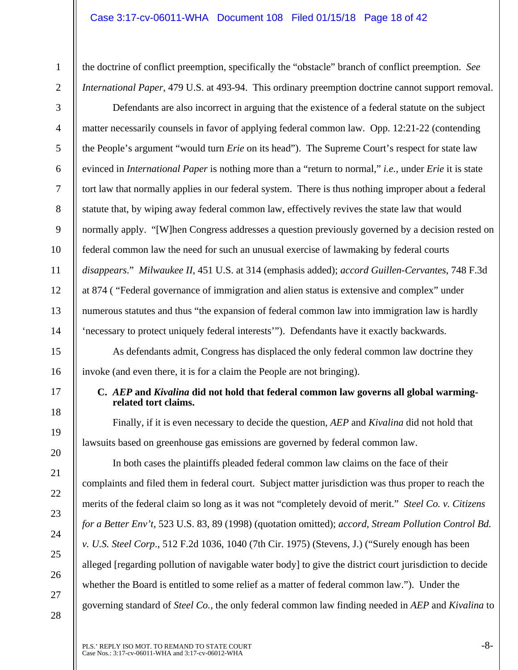the doctrine of conflict preemption, specifically the "obstacle" branch of conflict preemption. *See International Paper*, 479 U.S. at 493-94. This ordinary preemption doctrine cannot support removal.

Defendants are also incorrect in arguing that the existence of a federal statute on the subject matter necessarily counsels in favor of applying federal common law. Opp. 12:21-22 (contending the People's argument "would turn *Erie* on its head"). The Supreme Court's respect for state law evinced in *International Paper* is nothing more than a "return to normal," *i.e.*, under *Erie* it is state tort law that normally applies in our federal system. There is thus nothing improper about a federal statute that, by wiping away federal common law, effectively revives the state law that would normally apply. "[W]hen Congress addresses a question previously governed by a decision rested on federal common law the need for such an unusual exercise of lawmaking by federal courts *disappears*." *Milwaukee II*, 451 U.S. at 314 (emphasis added); *accord Guillen-Cervantes*, 748 F.3d at 874 ( "Federal governance of immigration and alien status is extensive and complex" under numerous statutes and thus "the expansion of federal common law into immigration law is hardly 'necessary to protect uniquely federal interests'"). Defendants have it exactly backwards.

As defendants admit, Congress has displaced the only federal common law doctrine they invoke (and even there, it is for a claim the People are not bringing).

17

1

2

3

4

5

6

7

8

9

10

11

12

13

14

15

16

18

19

20

21

22

23

24

25

26

27

28

### **C.** *AEP* **and** *Kivalina* **did not hold that federal common law governs all global warmingrelated tort claims.**

Finally, if it is even necessary to decide the question, *AEP* and *Kivalina* did not hold that lawsuits based on greenhouse gas emissions are governed by federal common law.

In both cases the plaintiffs pleaded federal common law claims on the face of their complaints and filed them in federal court. Subject matter jurisdiction was thus proper to reach the merits of the federal claim so long as it was not "completely devoid of merit." *Steel Co. v. Citizens for a Better Env't*, 523 U.S. 83, 89 (1998) (quotation omitted); *accord*, *Stream Pollution Control Bd. v. U.S. Steel Corp*., 512 F.2d 1036, 1040 (7th Cir. 1975) (Stevens, J.) ("Surely enough has been alleged [regarding pollution of navigable water body] to give the district court jurisdiction to decide whether the Board is entitled to some relief as a matter of federal common law."). Under the governing standard of *Steel Co.,* the only federal common law finding needed in *AEP* and *Kivalina* to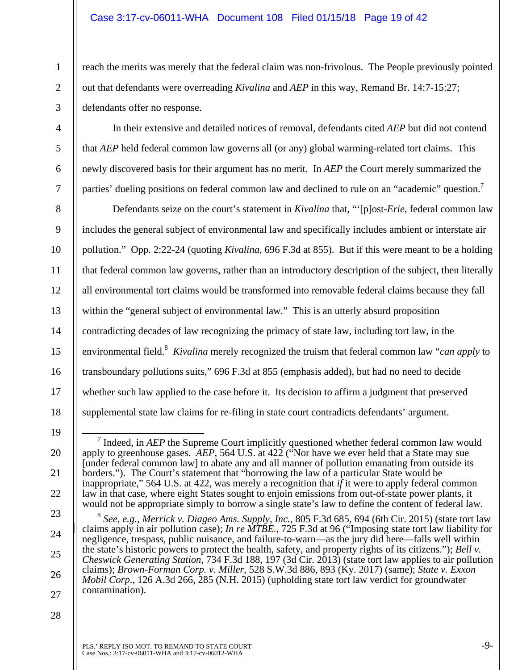### Case 3:17-cv-06011-WHA Document 108 Filed 01/15/18 Page 19 of 42

reach the merits was merely that the federal claim was non-frivolous. The People previously pointed out that defendants were overreading *Kivalina* and *AEP* in this way, Remand Br. 14:7-15:27; defendants offer no response.

3

4

5

6

7

1

2

In their extensive and detailed notices of removal, defendants cited *AEP* but did not contend that *AEP* held federal common law governs all (or any) global warming-related tort claims. This newly discovered basis for their argument has no merit. In *AEP* the Court merely summarized the parties' dueling positions on federal common law and declined to rule on an "academic" question.<sup>7</sup>

8 9 10 11 12 13 14 15 16 17 18 Defendants seize on the court's statement in *Kivalina* that, "'[p]ost-*Erie*, federal common law includes the general subject of environmental law and specifically includes ambient or interstate air pollution." Opp. 2:22-24 (quoting *Kivalina*, 696 F.3d at 855). But if this were meant to be a holding that federal common law governs, rather than an introductory description of the subject, then literally all environmental tort claims would be transformed into removable federal claims because they fall within the "general subject of environmental law." This is an utterly absurd proposition contradicting decades of law recognizing the primacy of state law, including tort law, in the environmental field.<sup>8</sup> Kivalina merely recognized the truism that federal common law "*can apply* to transboundary pollutions suits," 696 F.3d at 855 (emphasis added), but had no need to decide whether such law applied to the case before it. Its decision to affirm a judgment that preserved supplemental state law claims for re-filing in state court contradicts defendants' argument.

- 19
- 20

21

22

<sup>&</sup>lt;sup>7</sup> Indeed, in *AEP* the Supreme Court implicitly questioned whether federal common law would apply to greenhouse gases. *AEP*, 564 U.S. at 422 ("Nor have we ever held that a State may sue [under federal common law] to abate any and all manner of pollution emanating from outside its borders."). The Court's statement that "borrowing the law of a particular State would be inappropriate," 564 U.S. at 422, was merely a recognition that  $i\tilde{f}$  it were to apply federal common law in that case, where eight States sought to enjoin emissions from out-of-state power plants, it would not be appropriate simply to borrow a single state's law to define the content of federal law.

<sup>23</sup>  24 25 26 27 <sup>8</sup> *See, e.g., Merrick v. Diageo Ams. Supply, Inc.*, 805 F.3d 685, 694 (6th Cir. 2015) (state tort law claims apply in air pollution case); *In re MTBE.*, 725 F.3d at 96 ("Imposing state tort law liability for negligence, trespass, public nuisance, and failure-to-warn—as the jury did here—falls well within the state's historic powers to protect the health, safety, and property rights of its citizens."); *Bell v. Cheswick Generating Station*, 734 F.3d 188, 197 (3d Cir. 2013) (state tort law applies to air pollution claims); *Brown-Forman Corp. v. Miller*, 528 S.W.3d 886, 893 (Ky. 2017) (same); *State v. Exxon Mobil Corp*., 126 A.3d 266, 285 (N.H. 2015) (upholding state tort law verdict for groundwater contamination).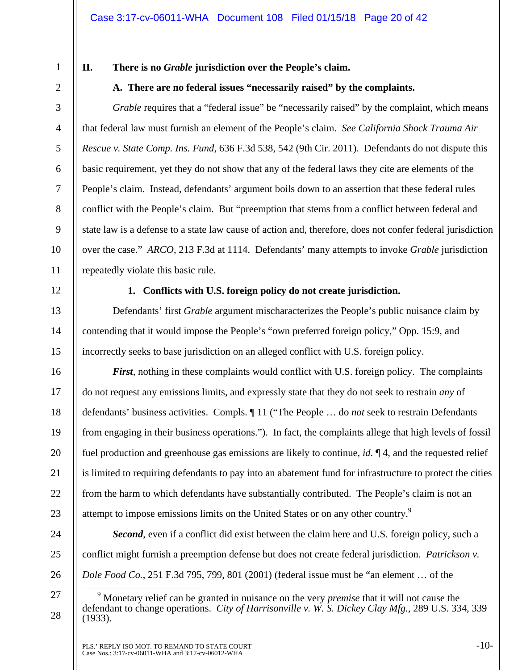1

2

3

4

5

6

7

8

9

10

# **II. There is no** *Grable* **jurisdiction over the People's claim.**

**A. There are no federal issues "necessarily raised" by the complaints.** 

*Grable* requires that a "federal issue" be "necessarily raised" by the complaint, which means that federal law must furnish an element of the People's claim. *See California Shock Trauma Air Rescue v. State Comp. Ins. Fund*, 636 F.3d 538, 542 (9th Cir. 2011). Defendants do not dispute this basic requirement, yet they do not show that any of the federal laws they cite are elements of the People's claim. Instead, defendants' argument boils down to an assertion that these federal rules conflict with the People's claim. But "preemption that stems from a conflict between federal and state law is a defense to a state law cause of action and, therefore, does not confer federal jurisdiction over the case." *ARCO*, 213 F.3d at 1114. Defendants' many attempts to invoke *Grable* jurisdiction repeatedly violate this basic rule.

12

13

14

15

16

17

18

19

20

21

22

23

24

25

26

27

28

11

# **1. Conflicts with U.S. foreign policy do not create jurisdiction.**

Defendants' first *Grable* argument mischaracterizes the People's public nuisance claim by contending that it would impose the People's "own preferred foreign policy," Opp. 15:9, and incorrectly seeks to base jurisdiction on an alleged conflict with U.S. foreign policy.

*First*, nothing in these complaints would conflict with U.S. foreign policy. The complaints do not request any emissions limits, and expressly state that they do not seek to restrain *any* of defendants' business activities. Compls. ¶ 11 ("The People … do *not* seek to restrain Defendants from engaging in their business operations."). In fact, the complaints allege that high levels of fossil fuel production and greenhouse gas emissions are likely to continue, *id.* ¶ 4, and the requested relief is limited to requiring defendants to pay into an abatement fund for infrastructure to protect the cities from the harm to which defendants have substantially contributed. The People's claim is not an attempt to impose emissions limits on the United States or on any other country.<sup>9</sup>

*Second*, even if a conflict did exist between the claim here and U.S. foreign policy, such a conflict might furnish a preemption defense but does not create federal jurisdiction. *Patrickson v. Dole Food Co.*, 251 F.3d 795, 799, 801 (2001) (federal issue must be "an element … of the

 $\frac{1}{9}$  Monetary relief can be granted in nuisance on the very *premise* that it will not cause the defendant to change operations. *City of Harrisonville v. W. S. Dickey Clay Mfg.*, 289 U.S. 334, 339 (1933).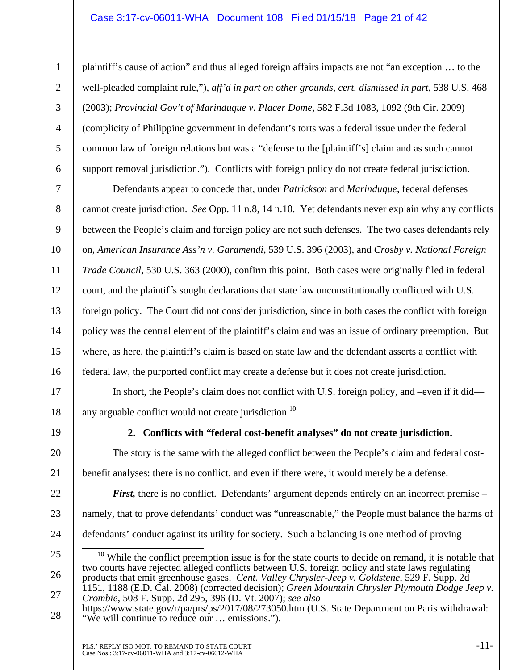### Case 3:17-cv-06011-WHA Document 108 Filed 01/15/18 Page 21 of 42

plaintiff's cause of action" and thus alleged foreign affairs impacts are not "an exception … to the well-pleaded complaint rule,"), *aff'd in part on other grounds, cert. dismissed in part*, 538 U.S. 468 (2003); *Provincial Gov't of Marinduque v. Placer Dome*, 582 F.3d 1083, 1092 (9th Cir. 2009) (complicity of Philippine government in defendant's torts was a federal issue under the federal common law of foreign relations but was a "defense to the [plaintiff's] claim and as such cannot support removal jurisdiction."). Conflicts with foreign policy do not create federal jurisdiction.

Defendants appear to concede that, under *Patrickson* and *Marinduque*, federal defenses cannot create jurisdiction. *See* Opp. 11 n.8, 14 n.10. Yet defendants never explain why any conflicts between the People's claim and foreign policy are not such defenses. The two cases defendants rely on, *American Insurance Ass'n v. Garamendi*, 539 U.S. 396 (2003), and *Crosby v. National Foreign Trade Council*, 530 U.S. 363 (2000), confirm this point. Both cases were originally filed in federal court, and the plaintiffs sought declarations that state law unconstitutionally conflicted with U.S. foreign policy. The Court did not consider jurisdiction, since in both cases the conflict with foreign policy was the central element of the plaintiff's claim and was an issue of ordinary preemption. But where, as here, the plaintiff's claim is based on state law and the defendant asserts a conflict with federal law, the purported conflict may create a defense but it does not create jurisdiction.

In short, the People's claim does not conflict with U.S. foreign policy, and –even if it did any arguable conflict would not create jurisdiction.<sup>10</sup>

19

1

2

3

4

5

6

7

8

9

10

11

12

13

14

15

16

17

18

20

21

22

23

24

27

**2. Conflicts with "federal cost-benefit analyses" do not create jurisdiction.** 

The story is the same with the alleged conflict between the People's claim and federal costbenefit analyses: there is no conflict, and even if there were, it would merely be a defense.

*First,* there is no conflict. Defendants' argument depends entirely on an incorrect premise – namely, that to prove defendants' conduct was "unreasonable," the People must balance the harms of defendants' conduct against its utility for society. Such a balancing is one method of proving

<sup>25</sup>  26  $10$  While the conflict preemption issue is for the state courts to decide on remand, it is notable that two courts have rejected alleged conflicts between U.S. foreign policy and state laws regulating products that emit greenhouse gases. *Cent. Valley Chrysler-Jeep v. Goldstene*, 529 F. Supp. 2d 1151, 1188 (E.D. Cal. 2008) (corrected decision); *Green Mountain Chrysler Plymouth Dodge Jeep v. Crombie*, 508 F. Supp. 2d 295, 396 (D. Vt. 2007); *see also*

<sup>28</sup>  https://www.state.gov/r/pa/prs/ps/2017/08/273050.htm (U.S. State Department on Paris withdrawal: "We will continue to reduce our … emissions.").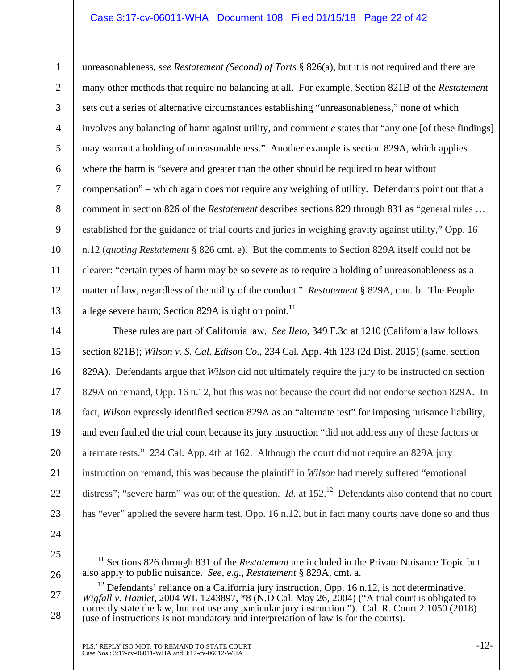### Case 3:17-cv-06011-WHA Document 108 Filed 01/15/18 Page 22 of 42

2 3 4 5 6 7 8 9 10 12 13 unreasonableness, *see Restatement (Second) of Torts* § 826(a), but it is not required and there are many other methods that require no balancing at all. For example, Section 821B of the *Restatement* sets out a series of alternative circumstances establishing "unreasonableness," none of which involves any balancing of harm against utility, and comment *e* states that "any one [of these findings] may warrant a holding of unreasonableness." Another example is section 829A, which applies where the harm is "severe and greater than the other should be required to bear without compensation" – which again does not require any weighing of utility. Defendants point out that a comment in section 826 of the *Restatement* describes sections 829 through 831 as "general rules … established for the guidance of trial courts and juries in weighing gravity against utility," Opp. 16 n.12 (*quoting Restatement* § 826 cmt. e). But the comments to Section 829A itself could not be clearer: "certain types of harm may be so severe as to require a holding of unreasonableness as a matter of law, regardless of the utility of the conduct." *Restatement* § 829A, cmt. b. The People allege severe harm; Section 829A is right on point.<sup>11</sup>

14 15 16 17 18 19 20 21 22 23 These rules are part of California law. *See Ileto*, 349 F.3d at 1210 (California law follows section 821B); *Wilson v. S. Cal. Edison Co.,* 234 Cal. App. 4th 123 (2d Dist. 2015) (same, section 829A). Defendants argue that *Wilson* did not ultimately require the jury to be instructed on section 829A on remand, Opp. 16 n.12, but this was not because the court did not endorse section 829A. In fact, *Wilson* expressly identified section 829A as an "alternate test" for imposing nuisance liability, and even faulted the trial court because its jury instruction "did not address any of these factors or alternate tests." 234 Cal. App. 4th at 162. Although the court did not require an 829A jury instruction on remand, this was because the plaintiff in *Wilson* had merely suffered "emotional distress"; "severe harm" was out of the question. *Id.* at 152<sup>12</sup> Defendants also contend that no court has "ever" applied the severe harm test, Opp. 16 n.12, but in fact many courts have done so and thus

24 25

26

1

<sup>&</sup>lt;sup>11</sup> Sections 826 through 831 of the *Restatement* are included in the Private Nuisance Topic but also apply to public nuisance. *See, e.g.*, *Restatement* § 829A, cmt. a.

<sup>27</sup>  28  $12$  Defendants' reliance on a California jury instruction, Opp. 16 n.12, is not determinative. *Wigfall v. Hamlet*, 2004 WL 1243897, \*8 (N.D Cal. May 26, 2004) ("A trial court is obligated to correctly state the law, but not use any particular jury instruction."). Cal. R. Court 2.1050 (2018) (use of instructions is not mandatory and interpretation of law is for the courts).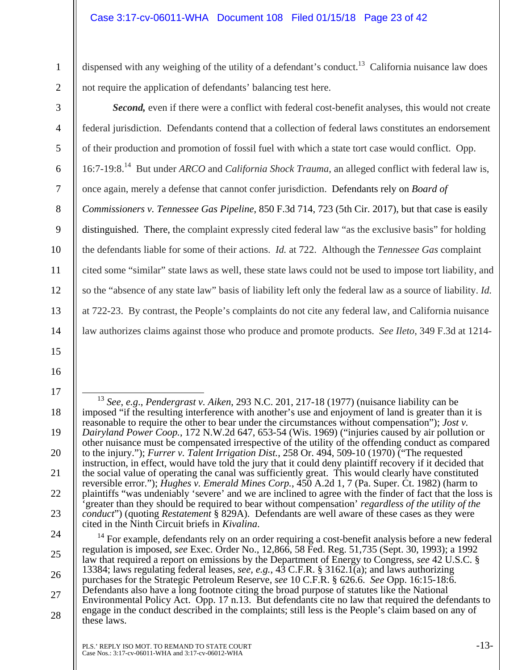dispensed with any weighing of the utility of a defendant's conduct.<sup>13</sup> California nuisance law does not require the application of defendants' balancing test here.

2 3

4

5

6

7

8

9

10

11

12

13

14

15

16

17

18

19

20

21

22

23

1

*Second,* even if there were a conflict with federal cost-benefit analyses, this would not create federal jurisdiction. Defendants contend that a collection of federal laws constitutes an endorsement of their production and promotion of fossil fuel with which a state tort case would conflict. Opp. 16:7-19:8.14 But under *ARCO* and *California Shock Trauma*, an alleged conflict with federal law is, once again, merely a defense that cannot confer jurisdiction. Defendants rely on *Board of Commissioners v. Tennessee Gas Pipeline*, 850 F.3d 714, 723 (5th Cir. 2017), but that case is easily distinguished. There, the complaint expressly cited federal law "as the exclusive basis" for holding the defendants liable for some of their actions. *Id.* at 722. Although the *Tennessee Gas* complaint cited some "similar" state laws as well, these state laws could not be used to impose tort liability, and so the "absence of any state law" basis of liability left only the federal law as a source of liability. *Id.* at 722-23. By contrast, the People's complaints do not cite any federal law, and California nuisance law authorizes claims against those who produce and promote products. *See Ileto*, 349 F.3d at 1214-

 <sup>13</sup> *See, e.g*., *Pendergrast v. Aiken*, 293 N.C. 201, 217-18 (1977) (nuisance liability can be imposed "if the resulting interference with another's use and enjoyment of land is greater than it is reasonable to require the other to bear under the circumstances without compensation"); *Jost v. Dairyland Power Coop.*, 172 N.W.2d 647, 653-54 (Wis. 1969) ("injuries caused by air pollution or other nuisance must be compensated irrespective of the utility of the offending conduct as compared to the injury."); *Furrer v. Talent Irrigation Dist.*, 258 Or. 494, 509-10 (1970) ("The requested instruction, in effect, would have told the jury that it could deny plaintiff recovery if it decided that the social value of operating the canal was sufficiently great. This would clearly have constituted reversible error."); *Hughes v. Emerald Mines Corp.*, 450 A.2d 1, 7 (Pa. Super. Ct. 1982) (harm to plaintiffs "was undeniably 'severe' and we are inclined to agree with the finder of fact that the loss is 'greater than they should be required to bear without compensation' *regardless of the utility of the conduct*") (quoting *Restatement* § 829A). Defendants are well aware of these cases as they were cited in the Ninth Circuit briefs in *Kivalina*.

<sup>24</sup>  25 26 27 28 <sup>14</sup> For example, defendants rely on an order requiring a cost-benefit analysis before a new federal regulation is imposed, *see* Exec. Order No., 12,866, 58 Fed. Reg. 51,735 (Sept. 30, 1993); a 1992 law that required a report on emissions by the Department of Energy to Congress, *see* 42 U.S.C. § 13384; laws regulating federal leases, *see, e.g.*, 43 C.F.R. § 3162.1(a); and laws authorizing purchases for the Strategic Petroleum Reserve, *see* 10 C.F.R. § 626.6. *See* Opp. 16:15-18:6. Defendants also have a long footnote citing the broad purpose of statutes like the National Environmental Policy Act. Opp. 17 n.13. But defendants cite no law that required the defendants to engage in the conduct described in the complaints; still less is the People's claim based on any of these laws.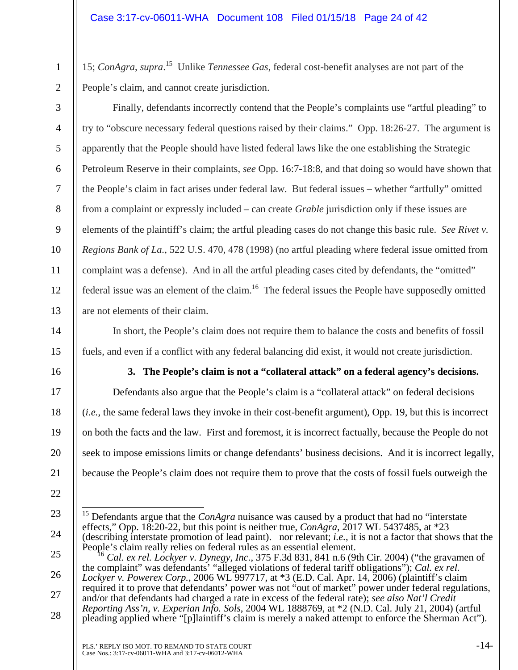15; *ConAgra*, *supra*.<sup>15</sup> Unlike *Tennessee Gas*, federal cost-benefit analyses are not part of the People's claim, and cannot create jurisdiction.

2 3

4

5

6

7

8

9

10

11

12

13

14

15

1

Finally, defendants incorrectly contend that the People's complaints use "artful pleading" to try to "obscure necessary federal questions raised by their claims." Opp. 18:26-27. The argument is apparently that the People should have listed federal laws like the one establishing the Strategic Petroleum Reserve in their complaints, *see* Opp. 16:7-18:8, and that doing so would have shown that the People's claim in fact arises under federal law. But federal issues – whether "artfully" omitted from a complaint or expressly included – can create *Grable* jurisdiction only if these issues are elements of the plaintiff's claim; the artful pleading cases do not change this basic rule. *See Rivet v. Regions Bank of La.*, 522 U.S. 470, 478 (1998) (no artful pleading where federal issue omitted from complaint was a defense). And in all the artful pleading cases cited by defendants, the "omitted" federal issue was an element of the claim.<sup>16</sup> The federal issues the People have supposedly omitted are not elements of their claim.

In short, the People's claim does not require them to balance the costs and benefits of fossil fuels, and even if a conflict with any federal balancing did exist, it would not create jurisdiction.

16

17

18

19

20

21

22

### **3. The People's claim is not a "collateral attack" on a federal agency's decisions.**

Defendants also argue that the People's claim is a "collateral attack" on federal decisions (*i.e.*, the same federal laws they invoke in their cost-benefit argument), Opp. 19, but this is incorrect on both the facts and the law. First and foremost, it is incorrect factually, because the People do not seek to impose emissions limits or change defendants' business decisions. And it is incorrect legally, because the People's claim does not require them to prove that the costs of fossil fuels outweigh the

<sup>23</sup>  24  $\overline{a}$ 15 Defendants argue that the *ConAgra* nuisance was caused by a product that had no "interstate effects," Opp. 18:20-22, but this point is neither true, *ConAgra*, 2017 WL 5437485, at \*23 (describing interstate promotion of lead paint). nor relevant; *i.e.*, it is not a factor that shows that the People's claim really relies on federal rules as an essential element.

<sup>25</sup>  26 27 28 <sup>16</sup> *Cal. ex rel. Lockyer v. Dynegy, Inc.*, 375 F.3d 831, 841 n.6 (9th Cir. 2004) ("the gravamen of the complaint" was defendants' "alleged violations of federal tariff obligations"); *Cal. ex rel. Lockyer v. Powerex Corp.*, 2006 WL 997717, at \*3 (E.D. Cal. Apr. 14, 2006) (plaintiff's claim required it to prove that defendants' power was not "out of market" power under federal regulations, and/or that defendants had charged a rate in excess of the federal rate); *see also Nat'l Credit Reporting Ass'n, v. Experian Info. Sols*, 2004 WL 1888769, at \*2 (N.D. Cal. July 21, 2004) (artful pleading applied where "[p]laintiff's claim is merely a naked attempt to enforce the Sherman Act").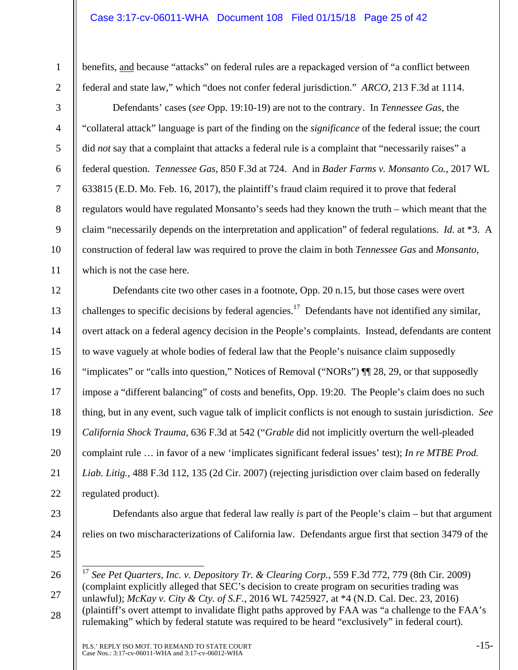### Case 3:17-cv-06011-WHA Document 108 Filed 01/15/18 Page 25 of 42

benefits, and because "attacks" on federal rules are a repackaged version of "a conflict between federal and state law," which "does not confer federal jurisdiction." *ARCO*, 213 F.3d at 1114.

2 3 4

5

6

7

8

9

10

11

1

Defendants' cases (*see* Opp. 19:10-19) are not to the contrary. In *Tennessee Gas*, the "collateral attack" language is part of the finding on the *significance* of the federal issue; the court did *not* say that a complaint that attacks a federal rule is a complaint that "necessarily raises" a federal question. *Tennessee Gas*, 850 F.3d at 724. And in *Bader Farms v. Monsanto Co.*, 2017 WL 633815 (E.D. Mo. Feb. 16, 2017), the plaintiff's fraud claim required it to prove that federal regulators would have regulated Monsanto's seeds had they known the truth – which meant that the claim "necessarily depends on the interpretation and application" of federal regulations. *Id.* at \*3. A construction of federal law was required to prove the claim in both *Tennessee Gas* and *Monsanto*, which is not the case here.

12 13 14 15 16 17 18 19 20 21 22 Defendants cite two other cases in a footnote, Opp. 20 n.15, but those cases were overt challenges to specific decisions by federal agencies.<sup>17</sup> Defendants have not identified any similar, overt attack on a federal agency decision in the People's complaints. Instead, defendants are content to wave vaguely at whole bodies of federal law that the People's nuisance claim supposedly "implicates" or "calls into question," Notices of Removal ("NORs") ¶¶ 28, 29, or that supposedly impose a "different balancing" of costs and benefits, Opp. 19:20. The People's claim does no such thing, but in any event, such vague talk of implicit conflicts is not enough to sustain jurisdiction. *See California Shock Trauma*, 636 F.3d at 542 ("*Grable* did not implicitly overturn the well-pleaded complaint rule … in favor of a new 'implicates significant federal issues' test); *In re MTBE Prod. Liab. Litig.*, 488 F.3d 112, 135 (2d Cir. 2007) (rejecting jurisdiction over claim based on federally regulated product).

23

- 24 25
- 26

 $\overline{1}$ 

27

28

<sup>17</sup> *See Pet Quarters, Inc. v. Depository Tr. & Clearing Corp.*, 559 F.3d 772, 779 (8th Cir. 2009) (complaint explicitly alleged that SEC's decision to create program on securities trading was unlawful); *McKay v. City & Cty. of S.F.*, 2016 WL 7425927, at \*4 (N.D. Cal. Dec. 23, 2016) (plaintiff's overt attempt to invalidate flight paths approved by FAA was "a challenge to the FAA's rulemaking" which by federal statute was required to be heard "exclusively" in federal court).

relies on two mischaracterizations of California law. Defendants argue first that section 3479 of the

Defendants also argue that federal law really *is* part of the People's claim – but that argument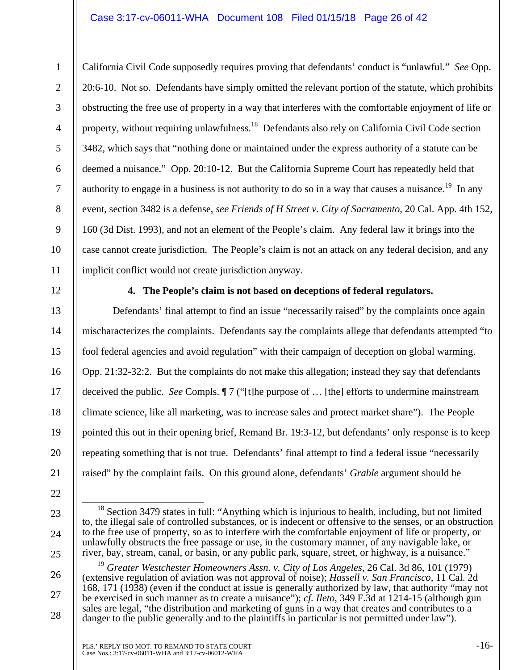### Case 3:17-cv-06011-WHA Document 108 Filed 01/15/18 Page 26 of 42

California Civil Code supposedly requires proving that defendants' conduct is "unlawful." *See* Opp. 20:6-10. Not so. Defendants have simply omitted the relevant portion of the statute, which prohibits obstructing the free use of property in a way that interferes with the comfortable enjoyment of life or property, without requiring unlawfulness.<sup>18</sup> Defendants also rely on California Civil Code section 3482, which says that "nothing done or maintained under the express authority of a statute can be deemed a nuisance." Opp. 20:10-12. But the California Supreme Court has repeatedly held that authority to engage in a business is not authority to do so in a way that causes a nuisance.<sup>19</sup> In any event, section 3482 is a defense, *see Friends of H Street v. City of Sacramento*, 20 Cal. App. 4th 152, 160 (3d Dist. 1993), and not an element of the People's claim. Any federal law it brings into the case cannot create jurisdiction. The People's claim is not an attack on any federal decision, and any implicit conflict would not create jurisdiction anyway.

12

13

14

15

16

17

18

19

20

21

22

23

24

25

26

27

28

11

1

2

3

4

5

6

7

8

9

10

### **4. The People's claim is not based on deceptions of federal regulators.**

Defendants' final attempt to find an issue "necessarily raised" by the complaints once again mischaracterizes the complaints. Defendants say the complaints allege that defendants attempted "to fool federal agencies and avoid regulation" with their campaign of deception on global warming. Opp. 21:32-32:2. But the complaints do not make this allegation; instead they say that defendants deceived the public. *See* Compls. ¶ 7 ("[t]he purpose of … [the] efforts to undermine mainstream climate science, like all marketing, was to increase sales and protect market share"). The People pointed this out in their opening brief, Remand Br. 19:3-12, but defendants' only response is to keep repeating something that is not true. Defendants' final attempt to find a federal issue "necessarily raised" by the complaint fails. On this ground alone, defendants' *Grable* argument should be

<sup>&</sup>lt;sup>18</sup> Section 3479 states in full: "Anything which is injurious to health, including, but not limited to, the illegal sale of controlled substances, or is indecent or offensive to the senses, or an obstruction to the free use of property, so as to interfere with the comfortable enjoyment of life or property, or unlawfully obstructs the free passage or use, in the customary manner, of any navigable lake, or river, bay, stream, canal, or basin, or any public park, square, street, or highway, is a nuisance."

<sup>19</sup> *Greater Westchester Homeowners Assn. v. City of Los Angeles*, 26 Cal. 3d 86, 101 (1979) (extensive regulation of aviation was not approval of noise); *Hassell v. San Francisco*, 11 Cal. 2d 168, 171 (1938) (even if the conduct at issue is generally authorized by law, that authority "may not be exercised in such manner as to create a nuisance"); *cf. Ileto*, 349 F.3d at 1214-15 (although gun sales are legal, "the distribution and marketing of guns in a way that creates and contributes to a danger to the public generally and to the plaintiffs in particular is not permitted under law").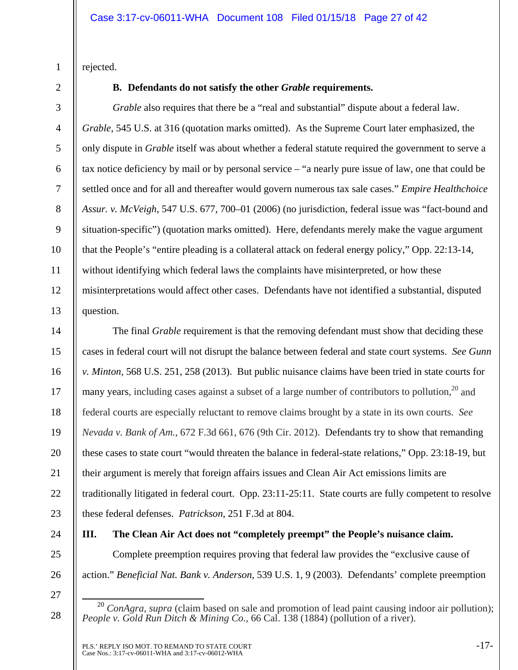rejected.

1

2

3

4

5

6

7

8

9

10

11

12

13

# **B. Defendants do not satisfy the other** *Grable* **requirements.**

*Grable* also requires that there be a "real and substantial" dispute about a federal law. *Grable*, 545 U.S. at 316 (quotation marks omitted). As the Supreme Court later emphasized, the only dispute in *Grable* itself was about whether a federal statute required the government to serve a tax notice deficiency by mail or by personal service – "a nearly pure issue of law, one that could be settled once and for all and thereafter would govern numerous tax sale cases." *Empire Healthchoice Assur. v. McVeigh*, 547 U.S. 677, 700–01 (2006) (no jurisdiction, federal issue was "fact-bound and situation-specific") (quotation marks omitted). Here, defendants merely make the vague argument that the People's "entire pleading is a collateral attack on federal energy policy," Opp. 22:13-14, without identifying which federal laws the complaints have misinterpreted, or how these misinterpretations would affect other cases. Defendants have not identified a substantial, disputed question.

14 15 16 17 18 19 20 21 22 23 The final *Grable* requirement is that the removing defendant must show that deciding these cases in federal court will not disrupt the balance between federal and state court systems. *See Gunn v. Minton*, 568 U.S. 251, 258 (2013). But public nuisance claims have been tried in state courts for many years, including cases against a subset of a large number of contributors to pollution,  $20$  and federal courts are especially reluctant to remove claims brought by a state in its own courts. *See Nevada v. Bank of Am.*, 672 F.3d 661, 676 (9th Cir. 2012). Defendants try to show that remanding these cases to state court "would threaten the balance in federal-state relations," Opp. 23:18-19, but their argument is merely that foreign affairs issues and Clean Air Act emissions limits are traditionally litigated in federal court. Opp. 23:11-25:11. State courts are fully competent to resolve these federal defenses. *Patrickson*, 251 F.3d at 804.

24 25

# **III. The Clean Air Act does not "completely preempt" the People's nuisance claim.**

Complete preemption requires proving that federal law provides the "exclusive cause of action." *Beneficial Nat. Bank v. Anderson*, 539 U.S. 1, 9 (2003). Defendants' complete preemption

27

28

<sup>&</sup>lt;sup>20</sup> *ConAgra*, *supra* (claim based on sale and promotion of lead paint causing indoor air pollution); *People v. Gold Run Ditch & Mining Co.*, 66 Cal. 138 (1884) (pollution of a river).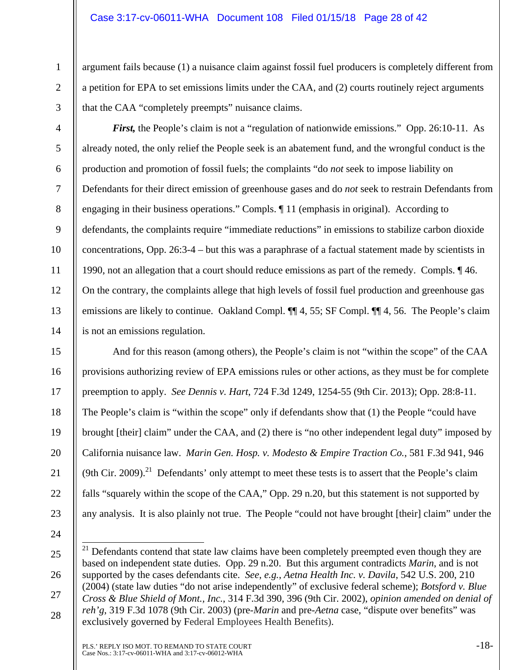argument fails because (1) a nuisance claim against fossil fuel producers is completely different from a petition for EPA to set emissions limits under the CAA, and (2) courts routinely reject arguments that the CAA "completely preempts" nuisance claims.

2 3

4

5

6

7

8

9

10

11

12

13

14

15

16

17

18

19

20

21

22

23

1

*First,* the People's claim is not a "regulation of nationwide emissions." Opp. 26:10-11. As already noted, the only relief the People seek is an abatement fund, and the wrongful conduct is the production and promotion of fossil fuels; the complaints "do *not* seek to impose liability on Defendants for their direct emission of greenhouse gases and do *not* seek to restrain Defendants from engaging in their business operations." Compls. ¶ 11 (emphasis in original). According to defendants, the complaints require "immediate reductions" in emissions to stabilize carbon dioxide concentrations, Opp. 26:3-4 – but this was a paraphrase of a factual statement made by scientists in 1990, not an allegation that a court should reduce emissions as part of the remedy. Compls. ¶ 46. On the contrary, the complaints allege that high levels of fossil fuel production and greenhouse gas emissions are likely to continue. Oakland Compl. ¶¶ 4, 55; SF Compl. ¶¶ 4, 56. The People's claim is not an emissions regulation.

And for this reason (among others), the People's claim is not "within the scope" of the CAA provisions authorizing review of EPA emissions rules or other actions, as they must be for complete preemption to apply. *See Dennis v. Hart*, 724 F.3d 1249, 1254-55 (9th Cir. 2013); Opp. 28:8-11. The People's claim is "within the scope" only if defendants show that (1) the People "could have brought [their] claim" under the CAA, and (2) there is "no other independent legal duty" imposed by California nuisance law. *Marin Gen. Hosp. v. Modesto & Empire Traction Co.*, 581 F.3d 941, 946 (9th Cir. 2009).<sup>21</sup> Defendants' only attempt to meet these tests is to assert that the People's claim falls "squarely within the scope of the CAA," Opp. 29 n.20, but this statement is not supported by any analysis. It is also plainly not true. The People "could not have brought [their] claim" under the

24

25

26

27

 $21\,$ Defendants contend that state law claims have been completely preempted even though they are based on independent state duties. Opp. 29 n.20. But this argument contradicts *Marin*, and is not supported by the cases defendants cite. *See*, *e.g.*, *Aetna Health Inc. v. Davila*, 542 U.S. 200, 210 (2004) (state law duties "do not arise independently" of exclusive federal scheme); *Botsford v. Blue Cross & Blue Shield of Mont., Inc.*, 314 F.3d 390, 396 (9th Cir. 2002), *opinion amended on denial of reh'g*, 319 F.3d 1078 (9th Cir. 2003) (pre-*Marin* and pre-*Aetna* case, "dispute over benefits" was exclusively governed by Federal Employees Health Benefits).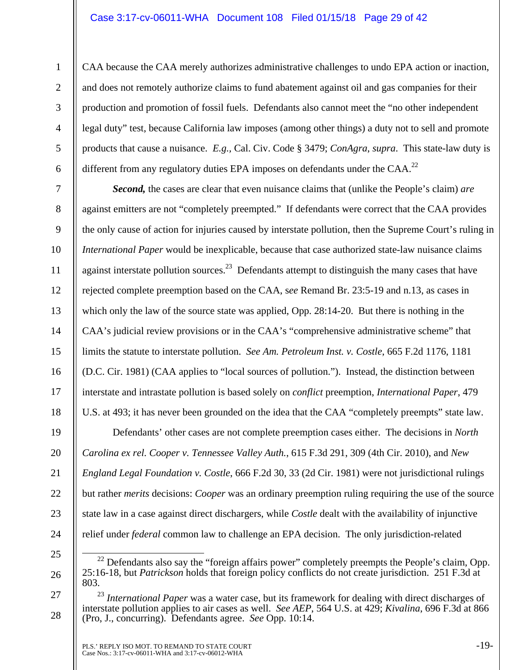CAA because the CAA merely authorizes administrative challenges to undo EPA action or inaction, and does not remotely authorize claims to fund abatement against oil and gas companies for their production and promotion of fossil fuels. Defendants also cannot meet the "no other independent legal duty" test, because California law imposes (among other things) a duty not to sell and promote products that cause a nuisance. *E.g.,* Cal. Civ. Code § 3479; *ConAgra*, *supra*. This state-law duty is different from any regulatory duties EPA imposes on defendants under the CAA.<sup>22</sup>

*Second,* the cases are clear that even nuisance claims that (unlike the People's claim) *are* against emitters are not "completely preempted." If defendants were correct that the CAA provides the only cause of action for injuries caused by interstate pollution, then the Supreme Court's ruling in *International Paper* would be inexplicable, because that case authorized state-law nuisance claims against interstate pollution sources.<sup>23</sup> Defendants attempt to distinguish the many cases that have rejected complete preemption based on the CAA, s*ee* Remand Br. 23:5-19 and n.13, as cases in which only the law of the source state was applied, Opp. 28:14-20. But there is nothing in the CAA's judicial review provisions or in the CAA's "comprehensive administrative scheme" that limits the statute to interstate pollution. *See Am. Petroleum Inst. v. Costle*, 665 F.2d 1176, 1181 (D.C. Cir. 1981) (CAA applies to "local sources of pollution."). Instead, the distinction between interstate and intrastate pollution is based solely on *conflict* preemption, *International Paper*, 479 U.S. at 493; it has never been grounded on the idea that the CAA "completely preempts" state law. Defendants' other cases are not complete preemption cases either. The decisions in *North Carolina ex rel. Cooper v. Tennessee Valley Auth.*, 615 F.3d 291, 309 (4th Cir. 2010), and *New England Legal Foundation v. Costle*, 666 F.2d 30, 33 (2d Cir. 1981) were not jurisdictional rulings but rather *merits* decisions: *Cooper* was an ordinary preemption ruling requiring the use of the source state law in a case against direct dischargers, while *Costle* dealt with the availability of injunctive

25

26

1

2

3

4

5

6

7

8

9

10

11

12

13

14

15

16

17

18

19

20

21

22

23

24

relief under *federal* common law to challenge an EPA decision. The only jurisdiction-related

<sup>&</sup>lt;sup>22</sup> Defendants also say the "foreign affairs power" completely preempts the People's claim, Opp. 25:16-18, but *Patrickson* holds that foreign policy conflicts do not create jurisdiction. 251 F.3d at 803.

<sup>27</sup>  28 <sup>23</sup> *International Paper* was a water case, but its framework for dealing with direct discharges of interstate pollution applies to air cases as well. *See AEP*, 564 U.S. at 429; *Kivalina*, 696 F.3d at 866 (Pro, J., concurring). Defendants agree. *See* Opp. 10:14.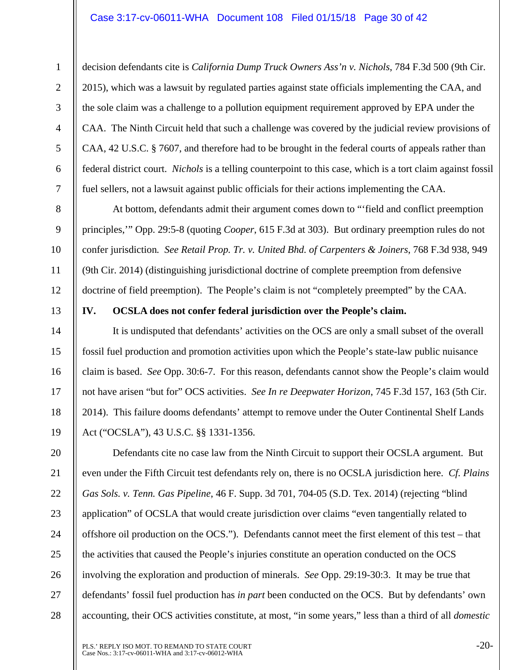### Case 3:17-cv-06011-WHA Document 108 Filed 01/15/18 Page 30 of 42

decision defendants cite is *California Dump Truck Owners Ass'n v. Nichols*, 784 F.3d 500 (9th Cir. 2015), which was a lawsuit by regulated parties against state officials implementing the CAA, and the sole claim was a challenge to a pollution equipment requirement approved by EPA under the CAA. The Ninth Circuit held that such a challenge was covered by the judicial review provisions of CAA, 42 U.S.C. § 7607, and therefore had to be brought in the federal courts of appeals rather than federal district court. *Nichols* is a telling counterpoint to this case, which is a tort claim against fossil fuel sellers, not a lawsuit against public officials for their actions implementing the CAA.

At bottom, defendants admit their argument comes down to "'field and conflict preemption principles,'" Opp. 29:5-8 (quoting *Cooper*, 615 F.3d at 303). But ordinary preemption rules do not confer jurisdiction*. See Retail Prop. Tr. v. United Bhd. of Carpenters & Joiners*, 768 F.3d 938, 949 (9th Cir. 2014) (distinguishing jurisdictional doctrine of complete preemption from defensive doctrine of field preemption). The People's claim is not "completely preempted" by the CAA.

13

1

2

3

4

5

6

7

8

9

10

11

12

14

15

16

17

18

19

20

21

22

23

24

25

26

27

28

**IV. OCSLA does not confer federal jurisdiction over the People's claim.** 

It is undisputed that defendants' activities on the OCS are only a small subset of the overall fossil fuel production and promotion activities upon which the People's state-law public nuisance claim is based. *See* Opp. 30:6-7. For this reason, defendants cannot show the People's claim would not have arisen "but for" OCS activities. *See In re Deepwater Horizon*, 745 F.3d 157, 163 (5th Cir. 2014). This failure dooms defendants' attempt to remove under the Outer Continental Shelf Lands Act ("OCSLA"), 43 U.S.C. §§ 1331-1356.

Defendants cite no case law from the Ninth Circuit to support their OCSLA argument. But even under the Fifth Circuit test defendants rely on, there is no OCSLA jurisdiction here. *Cf. Plains Gas Sols. v. Tenn. Gas Pipeline*, 46 F. Supp. 3d 701, 704-05 (S.D. Tex. 2014) (rejecting "blind application" of OCSLA that would create jurisdiction over claims "even tangentially related to offshore oil production on the OCS."). Defendants cannot meet the first element of this test – that the activities that caused the People's injuries constitute an operation conducted on the OCS involving the exploration and production of minerals. *See* Opp. 29:19-30:3. It may be true that defendants' fossil fuel production has *in part* been conducted on the OCS. But by defendants' own accounting, their OCS activities constitute, at most, "in some years," less than a third of all *domestic*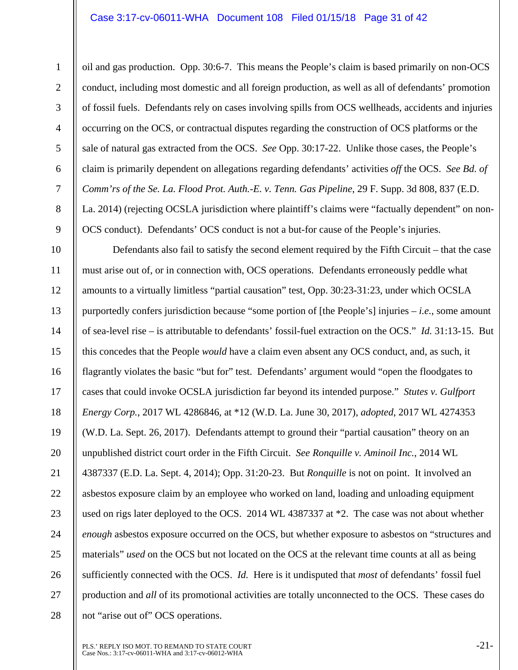1

2

3

4

5

6

7

8

9

oil and gas production. Opp. 30:6-7. This means the People's claim is based primarily on non-OCS conduct, including most domestic and all foreign production, as well as all of defendants' promotion of fossil fuels. Defendants rely on cases involving spills from OCS wellheads, accidents and injuries occurring on the OCS, or contractual disputes regarding the construction of OCS platforms or the sale of natural gas extracted from the OCS. *See* Opp. 30:17-22. Unlike those cases, the People's claim is primarily dependent on allegations regarding defendants' activities *off* the OCS. *See Bd. of Comm'rs of the Se. La. Flood Prot. Auth.-E. v. Tenn. Gas Pipeline*, 29 F. Supp. 3d 808, 837 (E.D. La. 2014) (rejecting OCSLA jurisdiction where plaintiff's claims were "factually dependent" on non-OCS conduct). Defendants' OCS conduct is not a but-for cause of the People's injuries.

10 11 12 13 14 15 16 17 18 19 20 21 22 23 24 25 26 27 28 Defendants also fail to satisfy the second element required by the Fifth Circuit – that the case must arise out of, or in connection with, OCS operations. Defendants erroneously peddle what amounts to a virtually limitless "partial causation" test, Opp. 30:23-31:23, under which OCSLA purportedly confers jurisdiction because "some portion of [the People's] injuries – *i.e.*, some amount of sea-level rise – is attributable to defendants' fossil-fuel extraction on the OCS." *Id.* 31:13-15. But this concedes that the People *would* have a claim even absent any OCS conduct, and, as such, it flagrantly violates the basic "but for" test. Defendants' argument would "open the floodgates to cases that could invoke OCSLA jurisdiction far beyond its intended purpose." *Stutes v. Gulfport Energy Corp.*, 2017 WL 4286846, at \*12 (W.D. La. June 30, 2017), *adopted*, 2017 WL 4274353 (W.D. La. Sept. 26, 2017). Defendants attempt to ground their "partial causation" theory on an unpublished district court order in the Fifth Circuit. *See Ronquille v. Aminoil Inc.*, 2014 WL 4387337 (E.D. La. Sept. 4, 2014); Opp. 31:20-23. But *Ronquille* is not on point. It involved an asbestos exposure claim by an employee who worked on land, loading and unloading equipment used on rigs later deployed to the OCS. 2014 WL 4387337 at \*2. The case was not about whether *enough* asbestos exposure occurred on the OCS, but whether exposure to asbestos on "structures and materials" *used* on the OCS but not located on the OCS at the relevant time counts at all as being sufficiently connected with the OCS. *Id.* Here is it undisputed that *most* of defendants' fossil fuel production and *all* of its promotional activities are totally unconnected to the OCS. These cases do not "arise out of" OCS operations.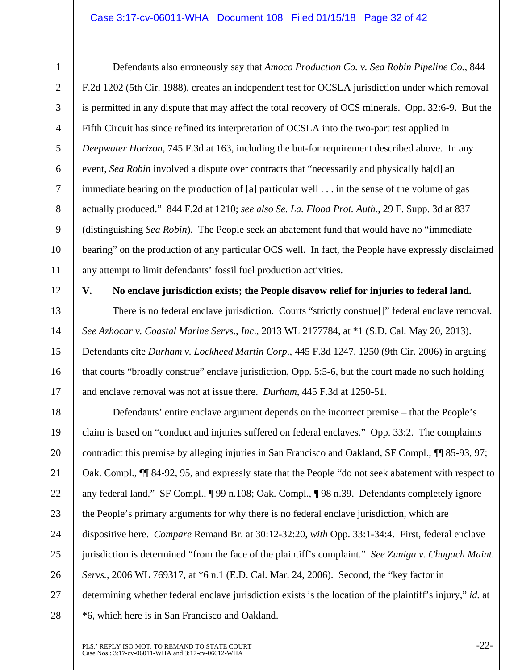### Case 3:17-cv-06011-WHA Document 108 Filed 01/15/18 Page 32 of 42

4

5

6

7

8

9

10

11

13

14

15

16

17

1

Defendants also erroneously say that *Amoco Production Co. v. Sea Robin Pipeline Co.*, 844 F.2d 1202 (5th Cir. 1988), creates an independent test for OCSLA jurisdiction under which removal is permitted in any dispute that may affect the total recovery of OCS minerals. Opp. 32:6-9. But the Fifth Circuit has since refined its interpretation of OCSLA into the two-part test applied in *Deepwater Horizon*, 745 F.3d at 163, including the but-for requirement described above. In any event, *Sea Robin* involved a dispute over contracts that "necessarily and physically ha[d] an immediate bearing on the production of [a] particular well . . . in the sense of the volume of gas actually produced." 844 F.2d at 1210; *see also Se. La. Flood Prot. Auth.*, 29 F. Supp. 3d at 837 (distinguishing *Sea Robin*). The People seek an abatement fund that would have no "immediate bearing" on the production of any particular OCS well. In fact, the People have expressly disclaimed any attempt to limit defendants' fossil fuel production activities.

12

# **V. No enclave jurisdiction exists; the People disavow relief for injuries to federal land.**

There is no federal enclave jurisdiction. Courts "strictly construe[]" federal enclave removal. *See Azhocar v. Coastal Marine Servs*., *Inc*., 2013 WL 2177784, at \*1 (S.D. Cal. May 20, 2013). Defendants cite *Durham v. Lockheed Martin Corp*., 445 F.3d 1247, 1250 (9th Cir. 2006) in arguing that courts "broadly construe" enclave jurisdiction, Opp. 5:5-6, but the court made no such holding and enclave removal was not at issue there. *Durham*, 445 F.3d at 1250-51.

18 19 20 21 22 23 24 25 26 27 28 Defendants' entire enclave argument depends on the incorrect premise – that the People's claim is based on "conduct and injuries suffered on federal enclaves." Opp. 33:2. The complaints contradict this premise by alleging injuries in San Francisco and Oakland, SF Compl., ¶¶ 85-93, 97; Oak. Compl., ¶¶ 84-92, 95, and expressly state that the People "do not seek abatement with respect to any federal land." SF Compl., ¶ 99 n.108; Oak. Compl., ¶ 98 n.39. Defendants completely ignore the People's primary arguments for why there is no federal enclave jurisdiction, which are dispositive here. *Compare* Remand Br. at 30:12-32:20, *with* Opp. 33:1-34:4. First, federal enclave jurisdiction is determined "from the face of the plaintiff's complaint." *See Zuniga v. Chugach Maint. Servs.*, 2006 WL 769317, at \*6 n.1 (E.D. Cal. Mar. 24, 2006). Second, the "key factor in determining whether federal enclave jurisdiction exists is the location of the plaintiff's injury," *id.* at \*6, which here is in San Francisco and Oakland.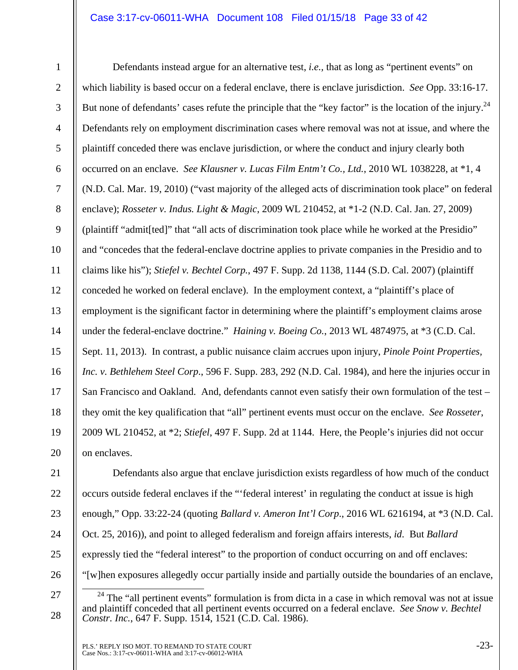### Case 3:17-cv-06011-WHA Document 108 Filed 01/15/18 Page 33 of 42

8

9

10

11

13

15

17

18

19

20

1

12 14 16 Defendants instead argue for an alternative test, *i.e.,* that as long as "pertinent events" on which liability is based occur on a federal enclave, there is enclave jurisdiction. *See* Opp. 33:16-17. But none of defendants' cases refute the principle that the "key factor" is the location of the injury.<sup>24</sup> Defendants rely on employment discrimination cases where removal was not at issue, and where the plaintiff conceded there was enclave jurisdiction, or where the conduct and injury clearly both occurred on an enclave. *See Klausner v. Lucas Film Entm't Co., Ltd.*, 2010 WL 1038228, at \*1, 4 (N.D. Cal. Mar. 19, 2010) ("vast majority of the alleged acts of discrimination took place" on federal enclave); *Rosseter v. Indus. Light & Magic*, 2009 WL 210452, at \*1-2 (N.D. Cal. Jan. 27, 2009) (plaintiff "admit[ted]" that "all acts of discrimination took place while he worked at the Presidio" and "concedes that the federal-enclave doctrine applies to private companies in the Presidio and to claims like his"); *Stiefel v. Bechtel Corp.*, 497 F. Supp. 2d 1138, 1144 (S.D. Cal. 2007) (plaintiff conceded he worked on federal enclave). In the employment context, a "plaintiff's place of employment is the significant factor in determining where the plaintiff's employment claims arose under the federal-enclave doctrine." *Haining v. Boeing Co.*, 2013 WL 4874975, at \*3 (C.D. Cal. Sept. 11, 2013). In contrast, a public nuisance claim accrues upon injury, *Pinole Point Properties, Inc. v. Bethlehem Steel Corp*., 596 F. Supp. 283, 292 (N.D. Cal. 1984), and here the injuries occur in San Francisco and Oakland. And, defendants cannot even satisfy their own formulation of the test – they omit the key qualification that "all" pertinent events must occur on the enclave. *See Rosseter*, 2009 WL 210452, at \*2; *Stiefel*, 497 F. Supp. 2d at 1144. Here, the People's injuries did not occur on enclaves.

21 22 23 24 25 26 Defendants also argue that enclave jurisdiction exists regardless of how much of the conduct occurs outside federal enclaves if the "'federal interest' in regulating the conduct at issue is high enough," Opp. 33:22-24 (quoting *Ballard v. Ameron Int'l Corp*., 2016 WL 6216194, at \*3 (N.D. Cal. Oct. 25, 2016)), and point to alleged federalism and foreign affairs interests, *id*. But *Ballard* expressly tied the "federal interest" to the proportion of conduct occurring on and off enclaves: "[w]hen exposures allegedly occur partially inside and partially outside the boundaries of an enclave,

27

 $24$  The "all pertinent events" formulation is from dicta in a case in which removal was not at issue and plaintiff conceded that all pertinent events occurred on a federal enclave. *See Snow v. Bechtel Constr. Inc.*, 647 F. Supp. 1514, 1521 (C.D. Cal. 1986).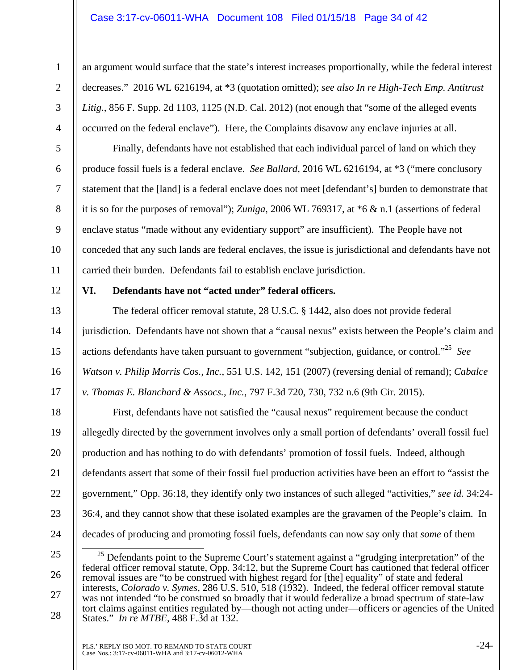### Case 3:17-cv-06011-WHA Document 108 Filed 01/15/18 Page 34 of 42

1 2

3

4

5

6

7

8

9

10

11

12

13

14

15

16

17

18

19

20

21

22

23

24

an argument would surface that the state's interest increases proportionally, while the federal interest decreases." 2016 WL 6216194, at \*3 (quotation omitted); *see also In re High-Tech Emp. Antitrust*  Litig., 856 F. Supp. 2d 1103, 1125 (N.D. Cal. 2012) (not enough that "some of the alleged events occurred on the federal enclave"). Here, the Complaints disavow any enclave injuries at all.

Finally, defendants have not established that each individual parcel of land on which they produce fossil fuels is a federal enclave. *See Ballard*, 2016 WL 6216194, at \*3 ("mere conclusory statement that the [land] is a federal enclave does not meet [defendant's] burden to demonstrate that it is so for the purposes of removal"); *Zuniga*, 2006 WL 769317, at \*6 & n.1 (assertions of federal enclave status "made without any evidentiary support" are insufficient). The People have not conceded that any such lands are federal enclaves, the issue is jurisdictional and defendants have not carried their burden. Defendants fail to establish enclave jurisdiction.

### **VI. Defendants have not "acted under" federal officers.**

The federal officer removal statute, 28 U.S.C. § 1442, also does not provide federal jurisdiction. Defendants have not shown that a "causal nexus" exists between the People's claim and actions defendants have taken pursuant to government "subjection, guidance, or control."25 *See Watson v. Philip Morris Cos., Inc.*, 551 U.S. 142, 151 (2007) (reversing denial of remand); *Cabalce v. Thomas E. Blanchard & Assocs., Inc.*, 797 F.3d 720, 730, 732 n.6 (9th Cir. 2015).

First, defendants have not satisfied the "causal nexus" requirement because the conduct allegedly directed by the government involves only a small portion of defendants' overall fossil fuel production and has nothing to do with defendants' promotion of fossil fuels. Indeed, although defendants assert that some of their fossil fuel production activities have been an effort to "assist the government," Opp. 36:18, they identify only two instances of such alleged "activities," *see id.* 34:24- 36:4, and they cannot show that these isolated examples are the gravamen of the People's claim. In decades of producing and promoting fossil fuels, defendants can now say only that *some* of them

<sup>25</sup>  26 27 28  $25$  Defendants point to the Supreme Court's statement against a "grudging interpretation" of the federal officer removal statute, Opp. 34:12, but the Supreme Court has cautioned that federal officer removal issues are "to be construed with highest regard for [the] equality" of state and federal interests, *Colorado v. Symes*, 286 U.S. 510, 518 (1932). Indeed, the federal officer removal statute was not intended "to be construed so broadly that it would federalize a broad spectrum of state-law tort claims against entities regulated by—though not acting under—officers or agencies of the United States." *In re MTBE*, 488 F.3d at 132.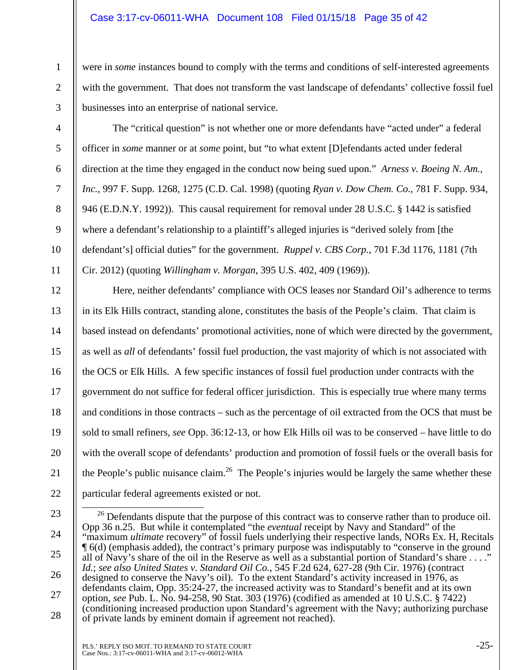### Case 3:17-cv-06011-WHA Document 108 Filed 01/15/18 Page 35 of 42

were in *some* instances bound to comply with the terms and conditions of self-interested agreements with the government. That does not transform the vast landscape of defendants' collective fossil fuel businesses into an enterprise of national service.

2 3

4

5

6

7

8

9

10

11

21

1

The "critical question" is not whether one or more defendants have "acted under" a federal officer in *some* manner or at *some* point, but "to what extent [D]efendants acted under federal direction at the time they engaged in the conduct now being sued upon." *Arness v. Boeing N. Am., Inc.*, 997 F. Supp. 1268, 1275 (C.D. Cal. 1998) (quoting *Ryan v. Dow Chem. Co.*, 781 F. Supp. 934, 946 (E.D.N.Y. 1992)). This causal requirement for removal under 28 U.S.C. § 1442 is satisfied where a defendant's relationship to a plaintiff's alleged injuries is "derived solely from [the defendant's] official duties" for the government. *Ruppel v. CBS Corp.*, 701 F.3d 1176, 1181 (7th Cir. 2012) (quoting *Willingham v. Morgan*, 395 U.S. 402, 409 (1969)).

12 13 14 15 16 17 18 19 20 22 Here, neither defendants' compliance with OCS leases nor Standard Oil's adherence to terms in its Elk Hills contract, standing alone, constitutes the basis of the People's claim. That claim is based instead on defendants' promotional activities, none of which were directed by the government, as well as *all* of defendants' fossil fuel production, the vast majority of which is not associated with the OCS or Elk Hills. A few specific instances of fossil fuel production under contracts with the government do not suffice for federal officer jurisdiction. This is especially true where many terms and conditions in those contracts – such as the percentage of oil extracted from the OCS that must be sold to small refiners, *see* Opp. 36:12-13, or how Elk Hills oil was to be conserved – have little to do with the overall scope of defendants' production and promotion of fossil fuels or the overall basis for the People's public nuisance claim.<sup>26</sup> The People's injuries would be largely the same whether these particular federal agreements existed or not.

<sup>23</sup>  24 25 26 27 28 <sup>26</sup> Defendants dispute that the purpose of this contract was to conserve rather than to produce oil. Opp 36 n.25. But while it contemplated "the *eventual* receipt by Navy and Standard" of the "maximum *ultimate* recovery" of fossil fuels underlying their respective lands, NORs Ex. H, Recitals ¶ 6(d) (emphasis added), the contract's primary purpose was indisputably to "conserve in the ground all of Navy's share of the oil in the Reserve as well as a substantial portion of Standard's share . . . ." *Id.*; *see also United States v. Standard Oil Co.*, 545 F.2d 624, 627-28 (9th Cir. 1976) (contract designed to conserve the Navy's oil). To the extent Standard's activity increased in 1976, as defendants claim, Opp. 35:24-27, the increased activity was to Standard's benefit and at its own option, *see* Pub. L. No. 94-258, 90 Stat. 303 (1976) (codified as amended at 10 U.S.C. § 7422) (conditioning increased production upon Standard's agreement with the Navy; authorizing purchase of private lands by eminent domain if agreement not reached).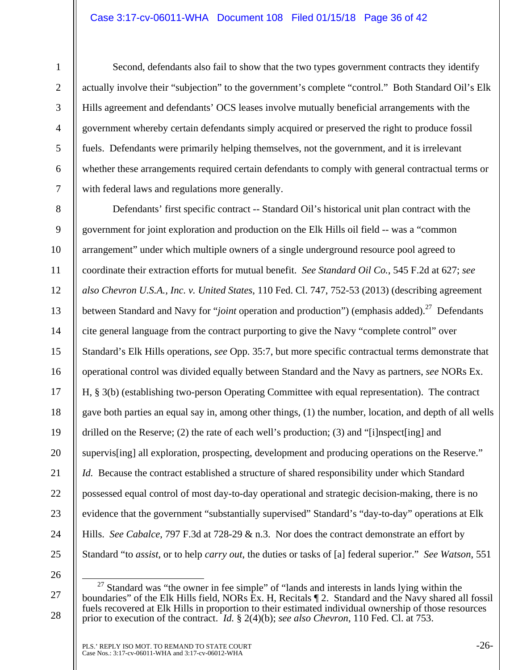### Case 3:17-cv-06011-WHA Document 108 Filed 01/15/18 Page 36 of 42

1

Second, defendants also fail to show that the two types government contracts they identify actually involve their "subjection" to the government's complete "control." Both Standard Oil's Elk Hills agreement and defendants' OCS leases involve mutually beneficial arrangements with the government whereby certain defendants simply acquired or preserved the right to produce fossil fuels. Defendants were primarily helping themselves, not the government, and it is irrelevant whether these arrangements required certain defendants to comply with general contractual terms or with federal laws and regulations more generally.

8 9 15 16 17 18 19 20 21 22 23 24 25 Defendants' first specific contract -- Standard Oil's historical unit plan contract with the government for joint exploration and production on the Elk Hills oil field -- was a "common arrangement" under which multiple owners of a single underground resource pool agreed to coordinate their extraction efforts for mutual benefit. *See Standard Oil Co.*, 545 F.2d at 627; *see also Chevron U.S.A., Inc. v. United States*, 110 Fed. Cl. 747, 752-53 (2013) (describing agreement between Standard and Navy for "*joint* operation and production") (emphasis added).<sup>27</sup> Defendants cite general language from the contract purporting to give the Navy "complete control" over Standard's Elk Hills operations, *see* Opp. 35:7, but more specific contractual terms demonstrate that operational control was divided equally between Standard and the Navy as partners, *see* NORs Ex. H, § 3(b) (establishing two-person Operating Committee with equal representation). The contract gave both parties an equal say in, among other things, (1) the number, location, and depth of all wells drilled on the Reserve; (2) the rate of each well's production; (3) and "[i]nspect[ing] and supervis[ing] all exploration, prospecting, development and producing operations on the Reserve." *Id.* Because the contract established a structure of shared responsibility under which Standard possessed equal control of most day-to-day operational and strategic decision-making, there is no evidence that the government "substantially supervised" Standard's "day-to-day" operations at Elk Hills. *See Cabalce*, 797 F.3d at 728-29 & n.3. Nor does the contract demonstrate an effort by Standard "to *assist*, or to help *carry out*, the duties or tasks of [a] federal superior." *See Watson*, 551

<sup>27</sup>  28  $\frac{27}{27}$  Standard was "the owner in fee simple" of "lands and interests in lands lying within the boundaries" of the Elk Hills field, NORs Ex. H, Recitals  $\P$  2. Standard and the Navy shared all fossil fuels recovered at Elk Hills in proportion to their estimated individual ownership of those resources prior to execution of the contract. *Id.* § 2(4)(b); *see also Chevron*, 110 Fed. Cl. at 753.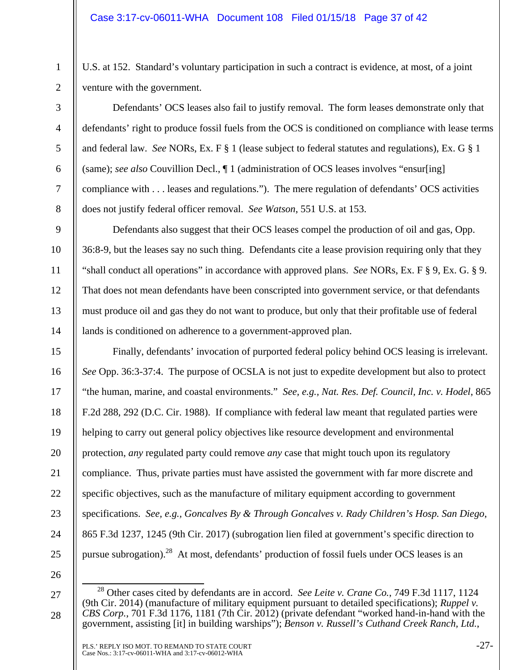U.S. at 152. Standard's voluntary participation in such a contract is evidence, at most, of a joint venture with the government.

Defendants' OCS leases also fail to justify removal. The form leases demonstrate only that defendants' right to produce fossil fuels from the OCS is conditioned on compliance with lease terms and federal law. *See* NORs, Ex. F § 1 (lease subject to federal statutes and regulations), Ex. G § 1 (same); *see also* Couvillion Decl., ¶ 1 (administration of OCS leases involves "ensur[ing] compliance with . . . leases and regulations."). The mere regulation of defendants' OCS activities does not justify federal officer removal. *See Watson*, 551 U.S. at 153.

Defendants also suggest that their OCS leases compel the production of oil and gas, Opp. 36:8-9, but the leases say no such thing. Defendants cite a lease provision requiring only that they "shall conduct all operations" in accordance with approved plans. *See* NORs, Ex. F § 9, Ex. G. § 9. That does not mean defendants have been conscripted into government service, or that defendants must produce oil and gas they do not want to produce, but only that their profitable use of federal lands is conditioned on adherence to a government-approved plan.

Finally, defendants' invocation of purported federal policy behind OCS leasing is irrelevant. *See* Opp. 36:3-37:4. The purpose of OCSLA is not just to expedite development but also to protect "the human, marine, and coastal environments." *See, e.g., Nat. Res. Def. Council, Inc. v. Hodel*, 865 F.2d 288, 292 (D.C. Cir. 1988). If compliance with federal law meant that regulated parties were helping to carry out general policy objectives like resource development and environmental protection, *any* regulated party could remove *any* case that might touch upon its regulatory compliance. Thus, private parties must have assisted the government with far more discrete and specific objectives, such as the manufacture of military equipment according to government specifications. *See, e.g., Goncalves By & Through Goncalves v. Rady Children's Hosp. San Diego*, 865 F.3d 1237, 1245 (9th Cir. 2017) (subrogation lien filed at government's specific direction to pursue subrogation).<sup>28</sup> At most, defendants' production of fossil fuels under OCS leases is an

26

27

28

1

2

3

4

5

6

7

8

9

10

11

12

13

14

15

16

17

18

19

20

21

22

23

24

 <sup>28</sup> Other cases cited by defendants are in accord. *See Leite v. Crane Co.*, 749 F.3d 1117, 1124 (9th Cir. 2014) (manufacture of military equipment pursuant to detailed specifications); *Ruppel v. CBS Corp.*, 701 F.3d 1176, 1181 (7th Cir. 2012) (private defendant "worked hand-in-hand with the government, assisting [it] in building warships"); *Benson v. Russell's Cuthand Creek Ranch, Ltd.*,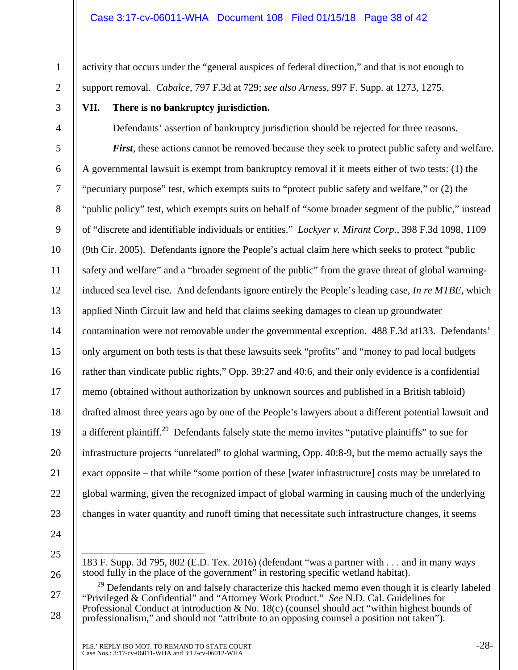activity that occurs under the "general auspices of federal direction," and that is not enough to support removal. *Cabalce*, 797 F.3d at 729; *see also Arness*, 997 F. Supp. at 1273, 1275.

3

1

2

4

5

6

7

8

9

10

11

13

15

17

18

19

20

21

# **VII. There is no bankruptcy jurisdiction.**

Defendants' assertion of bankruptcy jurisdiction should be rejected for three reasons.

12 14 16 22 23 *First*, these actions cannot be removed because they seek to protect public safety and welfare. A governmental lawsuit is exempt from bankruptcy removal if it meets either of two tests: (1) the "pecuniary purpose" test, which exempts suits to "protect public safety and welfare," or (2) the "public policy" test, which exempts suits on behalf of "some broader segment of the public," instead of "discrete and identifiable individuals or entities." *Lockyer v. Mirant Corp.*, 398 F.3d 1098, 1109 (9th Cir. 2005). Defendants ignore the People's actual claim here which seeks to protect "public safety and welfare" and a "broader segment of the public" from the grave threat of global warminginduced sea level rise. And defendants ignore entirely the People's leading case, *In re MTBE*, which applied Ninth Circuit law and held that claims seeking damages to clean up groundwater contamination were not removable under the governmental exception. 488 F.3d at133. Defendants' only argument on both tests is that these lawsuits seek "profits" and "money to pad local budgets rather than vindicate public rights," Opp. 39:27 and 40:6, and their only evidence is a confidential memo (obtained without authorization by unknown sources and published in a British tabloid) drafted almost three years ago by one of the People's lawyers about a different potential lawsuit and a different plaintiff.<sup>29</sup> Defendants falsely state the memo invites "putative plaintiffs" to sue for infrastructure projects "unrelated" to global warming, Opp. 40:8-9, but the memo actually says the exact opposite – that while "some portion of these [water infrastructure] costs may be unrelated to global warming, given the recognized impact of global warming in causing much of the underlying changes in water quantity and runoff timing that necessitate such infrastructure changes, it seems

- 24
- 25

 $\overline{a}$ 

<sup>183</sup> F. Supp. 3d 795, 802 (E.D. Tex. 2016) (defendant "was a partner with . . . and in many ways stood fully in the place of the government" in restoring specific wetland habitat).

<sup>27</sup>  28 <sup>29</sup> Defendants rely on and falsely characterize this hacked memo even though it is clearly labeled "Privileged & Confidential" and "Attorney Work Product." *See* N.D. Cal. Guidelines for Professional Conduct at introduction  $\&$  No. 18(c) (counsel should act "within highest bounds of professionalism," and should not "attribute to an opposing counsel a position not taken").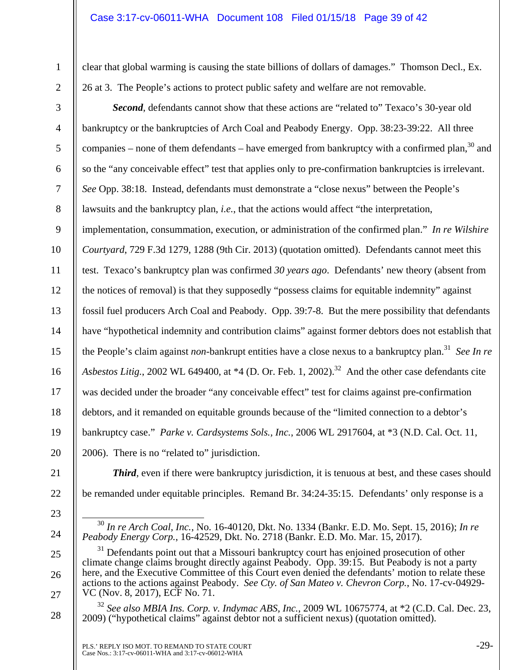clear that global warming is causing the state billions of dollars of damages." Thomson Decl., Ex. 26 at 3. The People's actions to protect public safety and welfare are not removable.

**Second**, defendants cannot show that these actions are "related to" Texaco's 30-year old bankruptcy or the bankruptcies of Arch Coal and Peabody Energy. Opp. 38:23-39:22. All three companies – none of them defendants – have emerged from bankruptcy with a confirmed plan,<sup>30</sup> and so the "any conceivable effect" test that applies only to pre-confirmation bankruptcies is irrelevant. *See* Opp. 38:18. Instead, defendants must demonstrate a "close nexus" between the People's lawsuits and the bankruptcy plan, *i.e.*, that the actions would affect "the interpretation, implementation, consummation, execution, or administration of the confirmed plan." *In re Wilshire Courtyard*, 729 F.3d 1279, 1288 (9th Cir. 2013) (quotation omitted). Defendants cannot meet this

11 12 13 14 15 16 17 18 19 20 test. Texaco's bankruptcy plan was confirmed *30 years ago*. Defendants' new theory (absent from the notices of removal) is that they supposedly "possess claims for equitable indemnity" against fossil fuel producers Arch Coal and Peabody. Opp. 39:7-8. But the mere possibility that defendants have "hypothetical indemnity and contribution claims" against former debtors does not establish that the People's claim against *non*-bankrupt entities have a close nexus to a bankruptcy plan.<sup>31</sup> *See In re Asbestos Litig.*, 2002 WL 649400, at  $*4$  (D. Or. Feb. 1, 2002).<sup>32</sup> And the other case defendants cite was decided under the broader "any conceivable effect" test for claims against pre-confirmation debtors, and it remanded on equitable grounds because of the "limited connection to a debtor's bankruptcy case." *Parke v. Cardsystems Sols., Inc.*, 2006 WL 2917604, at \*3 (N.D. Cal. Oct. 11, 2006). There is no "related to" jurisdiction.

21 22

1

2

3

4

5

6

7

8

9

10

- 23
- 

24

25

26

27

28

be remanded under equitable principles. Remand Br. 34:24-35:15. Defendants' only response is a

*Third*, even if there were bankruptcy jurisdiction, it is tenuous at best, and these cases should

 <sup>30</sup> *In re Arch Coal, Inc.*, No. 16-40120, Dkt. No. 1334 (Bankr. E.D. Mo. Sept. 15, 2016); *In re Peabody Energy Corp.*, 16-42529, Dkt. No. 2718 (Bankr. E.D. Mo. Mar. 15, 2017).

<sup>&</sup>lt;sup>31</sup> Defendants point out that a Missouri bankruptcy court has enjoined prosecution of other climate change claims brought directly against Peabody. Opp. 39:15. But Peabody is not a party here, and the Executive Committee of this Court even denied the defendants' motion to relate these actions to the actions against Peabody. *See Cty. of San Mateo v. Chevron Corp.*, No. 17-cv-04929- VC (Nov. 8, 2017), ECF No. 71.

<sup>32</sup> *See also MBIA Ins. Corp. v. Indymac ABS, Inc.*, 2009 WL 10675774, at \*2 (C.D. Cal. Dec. 23, 2009) ("hypothetical claims" against debtor not a sufficient nexus) (quotation omitted).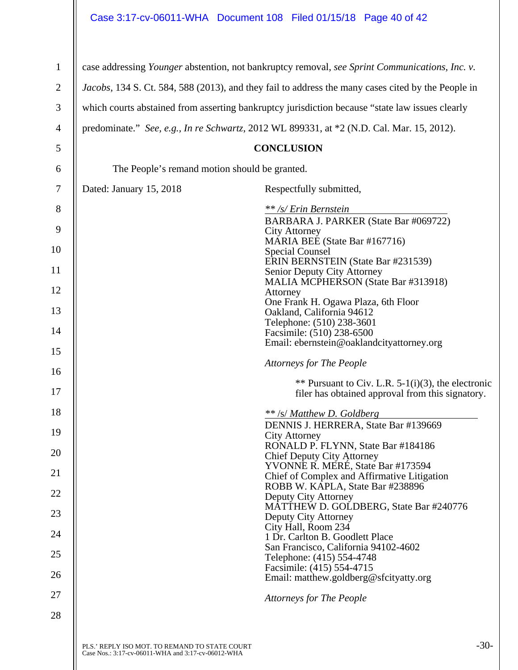# Case 3:17-cv-06011-WHA Document 108 Filed 01/15/18 Page 40 of 42

| 1              |                                                                                                     | case addressing Younger abstention, not bankruptcy removal, see Sprint Communications, Inc. v. |  |
|----------------|-----------------------------------------------------------------------------------------------------|------------------------------------------------------------------------------------------------|--|
| $\overline{2}$ | Jacobs, 134 S. Ct. 584, 588 (2013), and they fail to address the many cases cited by the People in  |                                                                                                |  |
| 3              | which courts abstained from asserting bankruptcy jurisdiction because "state law issues clearly     |                                                                                                |  |
| 4              |                                                                                                     | predominate." See, e.g., In re Schwartz, 2012 WL 899331, at *2 (N.D. Cal. Mar. 15, 2012).      |  |
| 5              |                                                                                                     | <b>CONCLUSION</b>                                                                              |  |
| 6              | The People's remand motion should be granted.                                                       |                                                                                                |  |
| 7              | Dated: January 15, 2018                                                                             | Respectfully submitted,                                                                        |  |
| 8              |                                                                                                     | ** /s/ Erin Bernstein                                                                          |  |
| 9              |                                                                                                     | BARBARA J. PARKER (State Bar #069722)<br><b>City Attorney</b>                                  |  |
| 10             |                                                                                                     | MARIA BEE (State Bar #167716)<br><b>Special Counsel</b>                                        |  |
| 11             |                                                                                                     | ERIN BERNSTEIN (State Bar #231539)<br>Senior Deputy City Attorney                              |  |
| 12             |                                                                                                     | MALIA MCPHERSON (State Bar #313918)<br>Attorney                                                |  |
| 13             |                                                                                                     | One Frank H. Ogawa Plaza, 6th Floor<br>Oakland, California 94612                               |  |
| 14             |                                                                                                     | Telephone: (510) 238-3601                                                                      |  |
| 15             |                                                                                                     | Facsimile: (510) 238-6500<br>Email: ebernstein@oaklandcityattorney.org                         |  |
| 16             |                                                                                                     | <b>Attorneys for The People</b>                                                                |  |
| 17             |                                                                                                     | ** Pursuant to Civ. L.R. $5-1(i)(3)$ , the electronic                                          |  |
|                |                                                                                                     | filer has obtained approval from this signatory.                                               |  |
| 18             |                                                                                                     | ** /s/ Matthew D. Goldberg<br>DENNIS J. HERRERA, State Bar #139669                             |  |
| 19             |                                                                                                     | <b>City Attorney</b>                                                                           |  |
| 20             |                                                                                                     | RONALD P. FLYNN, State Bar #184186<br>Chief Deputy City Attorney                               |  |
|                |                                                                                                     | YVONNE R. MERÉ, State Bar #173594                                                              |  |
| 21             |                                                                                                     | Chief of Complex and Affirmative Litigation<br>ROBB W. KAPLA, State Bar #238896                |  |
| 22             |                                                                                                     | Deputy City Attorney                                                                           |  |
| 23             |                                                                                                     | MATTHEW D. GOLDBERG, State Bar #240776<br>Deputy City Attorney                                 |  |
| 24             |                                                                                                     | City Hall, Room 234<br>1 Dr. Carlton B. Goodlett Place                                         |  |
| 25             |                                                                                                     | San Francisco, California 94102-4602<br>Telephone: (415) 554-4748                              |  |
| 26             |                                                                                                     | Facsimile: (415) 554-4715<br>Email: matthew.goldberg@sfcityatty.org                            |  |
| 27             |                                                                                                     | <b>Attorneys for The People</b>                                                                |  |
| 28             |                                                                                                     |                                                                                                |  |
|                |                                                                                                     |                                                                                                |  |
|                | PLS.' REPLY ISO MOT. TO REMAND TO STATE COURT<br>Case Nos.: 3:17-cv-06011-WHA and 3:17-cv-06012-WHA | $-30-$                                                                                         |  |

 $\mathsf{l}$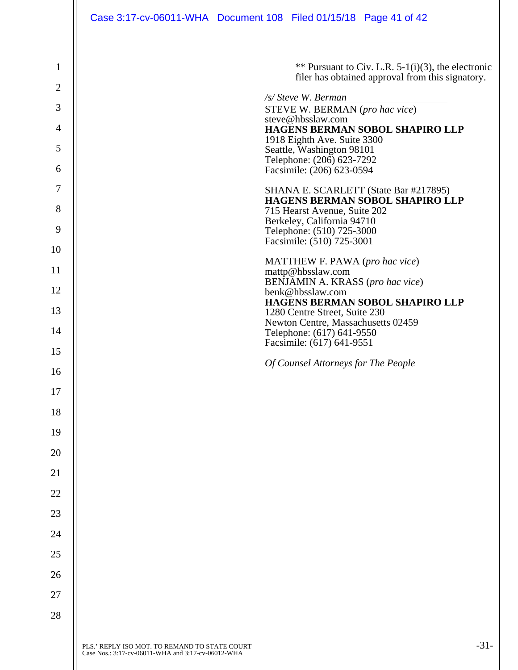| $\mathbf{1}$   |                                                    | ** Pursuant to Civ. L.R. $5-1(i)(3)$ , the electronic<br>filer has obtained approval from this signatory. |        |
|----------------|----------------------------------------------------|-----------------------------------------------------------------------------------------------------------|--------|
| $\overline{2}$ |                                                    |                                                                                                           |        |
| 3              |                                                    | /s/ Steve W. Berman<br>STEVE W. BERMAN (pro hac vice)                                                     |        |
| 4              |                                                    | steve@hbsslaw.com<br>HAGENS BERMAN SOBOL SHAPIRO LLP                                                      |        |
| 5              |                                                    | 1918 Eighth Ave. Suite 3300<br>Seattle, Washington 98101                                                  |        |
| 6              |                                                    | Telephone: (206) 623-7292<br>Facsimile: (206) 623-0594                                                    |        |
| 7              |                                                    | SHANA E. SCARLETT (State Bar #217895)<br>HAGENS BERMAN SOBOL SHAPIRO LLP                                  |        |
| 8              |                                                    | 715 Hearst Avenue, Suite 202<br>Berkeley, California 94710                                                |        |
| 9              |                                                    | Telephone: (510) 725-3000<br>Facsimile: (510) 725-3001                                                    |        |
| 10             |                                                    | MATTHEW F. PAWA (pro hac vice)                                                                            |        |
| 11             |                                                    | mattp@hbsslaw.com<br>BENJAMIN A. KRASS (pro hac vice)                                                     |        |
| 12             |                                                    | benk@hbsslaw.com<br>HAGENS BERMAN SOBOL SHAPIRO LLP                                                       |        |
| 13             |                                                    | 1280 Centre Street, Suite 230                                                                             |        |
| 14             |                                                    | Newton Centre, Massachusetts 02459<br>Telephone: (617) 641-9550                                           |        |
| 15             |                                                    | Facsimile: (617) 641-9551                                                                                 |        |
| 16             |                                                    | Of Counsel Attorneys for The People                                                                       |        |
| 17             |                                                    |                                                                                                           |        |
| 18             |                                                    |                                                                                                           |        |
| 19             |                                                    |                                                                                                           |        |
| 20             |                                                    |                                                                                                           |        |
| 21             |                                                    |                                                                                                           |        |
| 22             |                                                    |                                                                                                           |        |
| 23             |                                                    |                                                                                                           |        |
| 24             |                                                    |                                                                                                           |        |
| 25             |                                                    |                                                                                                           |        |
| 26             |                                                    |                                                                                                           |        |
| 27             |                                                    |                                                                                                           |        |
| 28             |                                                    |                                                                                                           |        |
|                | PLS.' REPLY ISO MOT. TO REMAND TO STATE COURT      |                                                                                                           | $-31-$ |
|                | Case Nos.: 3:17-cv-06011-WHA and 3:17-cv-06012-WHA |                                                                                                           |        |

 $\overline{\phantom{a}}$